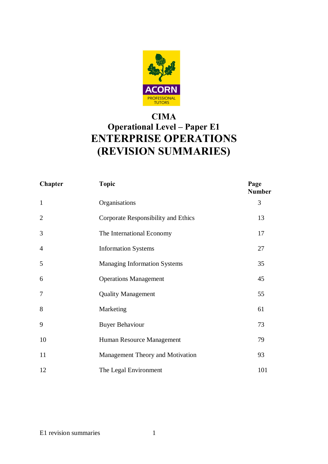

# **CIMA Operational Level – Paper E1 ENTERPRISE OPERATIONS (REVISION SUMMARIES)**

| <b>Chapter</b> | <b>Topic</b>                        | Page<br><b>Number</b> |
|----------------|-------------------------------------|-----------------------|
| $\mathbf{1}$   | Organisations                       | 3                     |
| $\overline{2}$ | Corporate Responsibility and Ethics | 13                    |
| 3              | The International Economy           | 17                    |
| $\overline{4}$ | <b>Information Systems</b>          | 27                    |
| 5              | <b>Managing Information Systems</b> | 35                    |
| 6              | <b>Operations Management</b>        | 45                    |
| 7              | <b>Quality Management</b>           | 55                    |
| 8              | Marketing                           | 61                    |
| 9              | <b>Buyer Behaviour</b>              | 73                    |
| 10             | Human Resource Management           | 79                    |
| 11             | Management Theory and Motivation    | 93                    |
| 12             | The Legal Environment               | 101                   |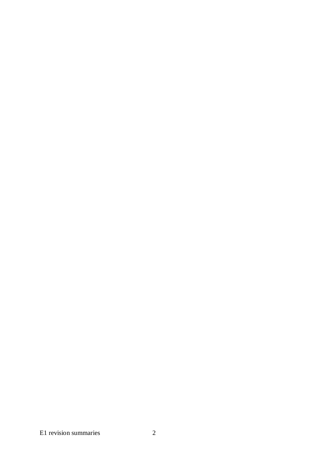E1 revision summaries 2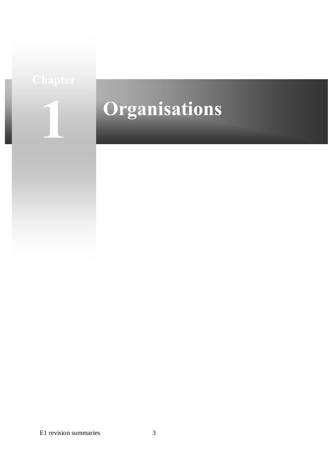**1**

# **Organisations**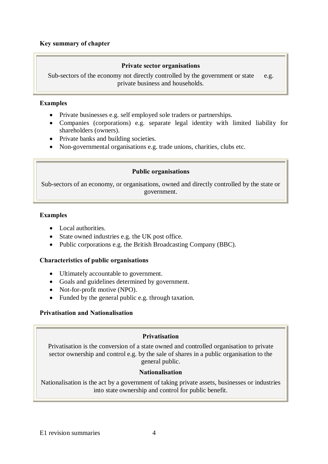# **Key summary of chapter**

# **Private sector organisations**

Sub-sectors of the economy not directly controlled by the government or state e.g. private business and households.

### **Examples**

- Private businesses e.g. self employed sole traders or partnerships.
- · Companies (corporations) e.g. separate legal identity with limited liability for shareholders (owners).
- · Private banks and building societies.
- Non-governmental organisations e.g. trade unions, charities, clubs etc.

#### **Public organisations**

Sub-sectors of an economy, or organisations, owned and directly controlled by the state or government.

### **Examples**

- Local authorities.
- · State owned industries e.g. the UK post office.
- · Public corporations e.g. the British Broadcasting Company (BBC).

#### **Characteristics of public organisations**

- · Ultimately accountable to government.
- · Goals and guidelines determined by government.
- Not-for-profit motive (NPO).
- Funded by the general public e.g. through taxation.

### **Privatisation and Nationalisation**

#### **Privatisation**

Privatisation is the conversion of a state owned and controlled organisation to private sector ownership and control e.g. by the sale of shares in a public organisation to the general public.

#### **Nationalisation**

Nationalisation is the act by a government of taking private assets, businesses or industries into state ownership and control for public benefit.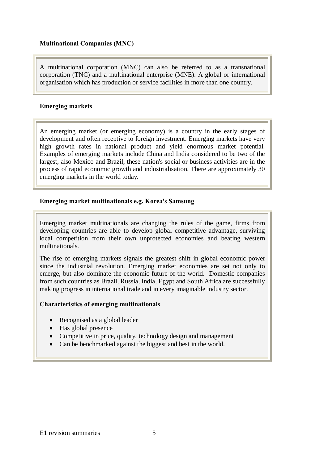# **Multinational Companies (MNC)**

A multinational corporation (MNC) can also be referred to as a transnational corporation (TNC) and a multinational enterprise (MNE). A global or international organisation which has production or service facilities in more than one country.

## **Emerging markets**

An emerging market (or emerging economy) is a country in the early stages of development and often receptive to foreign investment. Emerging markets have very high growth rates in national product and yield enormous market potential. Examples of emerging markets include China and India considered to be two of the largest, also Mexico and Brazil, these nation's social or business activities are in the process of rapid economic growth and industrialisation. There are approximately 30 emerging markets in the world today.

### **Emerging market multinationals e.g. Korea's Samsung**

Emerging market multinationals are changing the rules of the game, firms from developing countries are able to develop global competitive advantage, surviving local competition from their own unprotected economies and beating western multinationals.

The rise of emerging markets signals the greatest shift in global economic power since the industrial revolution. Emerging market economies are set not only to emerge, but also dominate the economic future of the world. Domestic companies from such countries as Brazil, Russia, India, Egypt and South Africa are successfully making progress in international trade and in every imaginable industry sector.

#### **Characteristics of emerging multinationals**

- Recognised as a global leader
- · Has global presence
- Competitive in price, quality, technology design and management
- Can be benchmarked against the biggest and best in the world.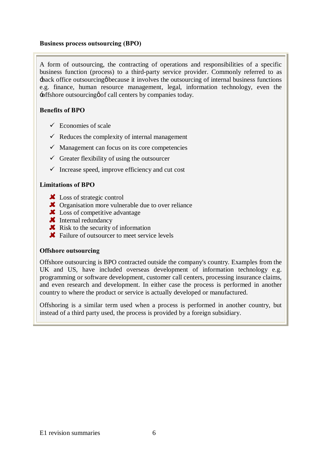#### **Business process outsourcing (BPO)**

A form of outsourcing, the contracting of operations and responsibilities of a specific business function (process) to a third-party service provider. Commonly referred to as  $\pm$ back office outsourcing because it involves the outsourcing of internal business functions e.g. finance, human resource management, legal, information technology, even the : offshore outsourcing gof call centers by companies today.

# **Benefits of BPO**

- $\checkmark$  Economies of scale
- $\checkmark$  Reduces the complexity of internal management
- $\checkmark$  Management can focus on its core competencies
- $\checkmark$  Greater flexibility of using the outsourcer
- $\checkmark$  Increase speed, improve efficiency and cut cost

### **Limitations of BPO**

- **X** Loss of strategic control
- **X** Organisation more vulnerable due to over reliance
- **X** Loss of competitive advantage
- $\blacktriangleright$  Internal redundancy
- $\blacktriangleright$  Risk to the security of information
- **K** Failure of outsourcer to meet service levels

#### **Offshore outsourcing**

Offshore outsourcing is BPO contracted outside the company's country. Examples from the UK and US, have included overseas development of information technology e.g. programming or software development, customer call centers, processing insurance claims, and even research and development. In either case the process is performed in another country to where the product or service is actually developed or manufactured.

Offshoring is a similar term used when a process is performed in another country, but instead of a third party used, the process is provided by a foreign subsidiary.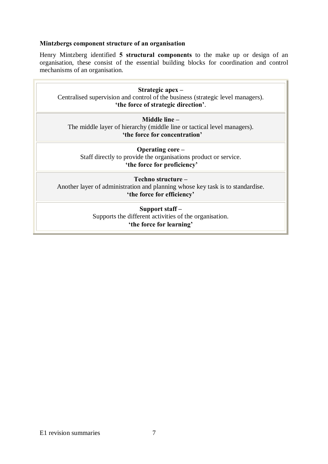# **Mintzbergs component structure of an organisation**

Henry Mintzberg identified **5 structural components** to the make up or design of an organisation, these consist of the essential building blocks for coordination and control mechanisms of an organisation.

| Strategic apex $-$<br>Centralised supervision and control of the business (strategic level managers). |
|-------------------------------------------------------------------------------------------------------|
| 'the force of strategic direction'.                                                                   |
|                                                                                                       |
| Middle $line -$                                                                                       |
| The middle layer of hierarchy (middle line or tactical level managers).                               |
| 'the force for concentration'                                                                         |
|                                                                                                       |
| Operating core –                                                                                      |
| Staff directly to provide the organisations product or service.                                       |
| 'the force for proficiency'                                                                           |
| Techno structure –                                                                                    |
| Another layer of administration and planning whose key task is to standardise.                        |
| 'the force for efficiency'                                                                            |
| Support staff –                                                                                       |
| Supports the different activities of the organisation.                                                |
| 'the force for learning'                                                                              |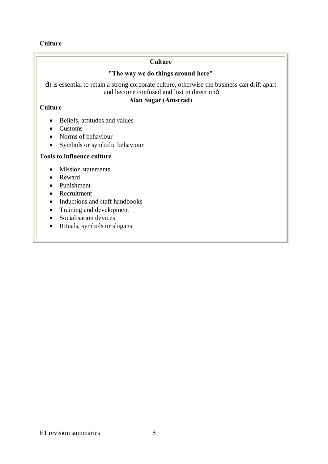# **Culture**

# **Culture**

# **"The way we do things around here"**

'It is essential to retain a strong corporate culture, otherwise the business can drift apart and become confused and lost in direction  $\phi$ 

# **Alan Sugar (Amstrad)**

### **Culture**

- · Beliefs, attitudes and values
- · Customs
- Norms of behaviour
- Symbols or symbolic behaviour

# **Tools to influence culture**

- · Mission statements
- · Reward
- Punishment
- Recruitment
- Inductions and staff handbooks
- Training and development
- Socialisation devices
- Rituals, symbols or slogans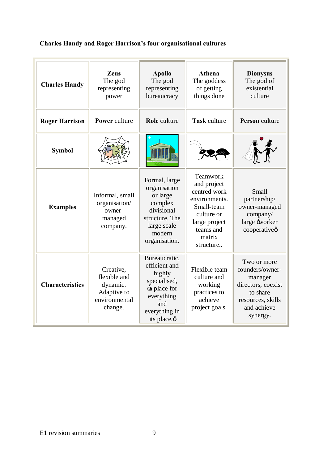# **Charles Handy and Roger Harrison's four organisational cultures**

| <b>Charles Handy</b>   | <b>Zeus</b><br>The god<br>representing<br>power                                  | <b>Apollo</b><br>The god<br>representing<br>bureaucracy                                                                             | <b>Athena</b><br>The goddess<br>of getting<br>things done                                                                                 | <b>Dionysus</b><br>The god of<br>existential<br>culture                                                                     |
|------------------------|----------------------------------------------------------------------------------|-------------------------------------------------------------------------------------------------------------------------------------|-------------------------------------------------------------------------------------------------------------------------------------------|-----------------------------------------------------------------------------------------------------------------------------|
| <b>Roger Harrison</b>  | Power culture                                                                    | Role culture                                                                                                                        | <b>Task culture</b>                                                                                                                       | Person culture                                                                                                              |
| <b>Symbol</b>          |                                                                                  |                                                                                                                                     |                                                                                                                                           |                                                                                                                             |
| <b>Examples</b>        | Informal, small<br>organisation/<br>owner-<br>managed<br>company.                | Formal, large<br>organisation<br>or large<br>complex<br>divisional<br>structure. The<br>large scale<br>modern<br>organisation.      | Teamwork<br>and project<br>centred work<br>environments.<br>Small-team<br>culture or<br>large project<br>teams and<br>matrix<br>structure | Small<br>partnership/<br>owner-managed<br>company/<br>large ÷worker<br>cooperativeø                                         |
| <b>Characteristics</b> | Creative,<br>flexible and<br>dynamic.<br>Adaptive to<br>environmental<br>change. | Bureaucratic,<br>efficient and<br>highly<br>specialised,<br>$\div$ a place for<br>everything<br>and<br>everything in<br>its place.ø | Flexible team<br>culture and<br>working<br>practices to<br>achieve<br>project goals.                                                      | Two or more<br>founders/owner-<br>manager<br>directors, coexist<br>to share<br>resources, skills<br>and achieve<br>synergy. |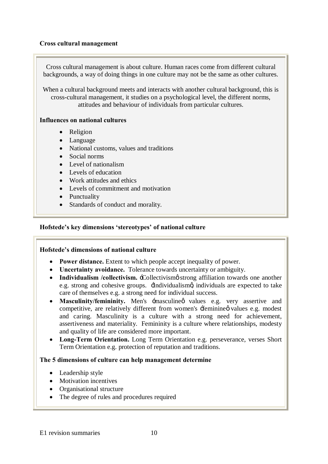# **Cross cultural management**

Cross cultural management is about culture. Human races come from different cultural backgrounds, a way of doing things in one culture may not be the same as other cultures. When a cultural background meets and interacts with another cultural background, this is cross-cultural management, it studies on a psychological level, the different norms, attitudes and behaviour of individuals from particular cultures. **Influences on national cultures** • Religion • Language • National customs, values and traditions • Social norms • Level of nationalism • Levels of education • Work attitudes and ethics • Levels of commitment and motivation • Punctuality • Standards of conduct and morality.

### **Hofstede's key dimensions 'stereotypes' of national culture**

#### **Hofstede's dimensions of national culture**

- · **Power distance.** Extent to which people accept inequality of power.
- · **Uncertainty avoidance.** Tolerance towards uncertainty or ambiguity.
- **Individualism /collectivism.**  $\pm$ Collectivisme strong affiliation towards one another e.g. strong and cohesive groups. Hindividualism individuals are expected to take care of themselves e.g. a strong need for individual success.
- Masculinity/femininity. Men's  $\pm$ masculine values e.g. very assertive and competitive, are relatively different from women's  $\pm$ feminine $\phi$  values e.g. modest and caring. Masculinity is a culture with a strong need for achievement, assertiveness and materiality. Femininity is a culture where relationships, modesty and quality of life are considered more important.
- · **Long-Term Orientation.** Long Term Orientation e.g. perseverance, verses Short Term Orientation e.g. protection of reputation and traditions.

#### **The 5 dimensions of culture can help management determine**

- Leadership style
- Motivation incentives
- · Organisational structure
- The degree of rules and procedures required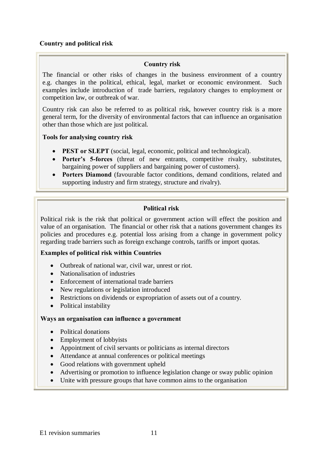## **Country and political risk**

#### **Country risk**

The financial or other risks of changes in the business environment of a country e.g. changes in the political, ethical, legal, market or economic environment. Such examples include introduction of trade barriers, regulatory changes to employment or competition law, or outbreak of war.

Country risk can also be referred to as political risk, however country risk is a more general term, for the diversity of environmental factors that can influence an organisation other than those which are just political.

#### **Tools for analysing country risk**

- · **PEST or SLEPT** (social, legal, economic, political and technological).
- · **Porter's 5-forces** (threat of new entrants, competitive rivalry, substitutes, bargaining power of suppliers and bargaining power of customers).
- · **Porters Diamond** (favourable factor conditions, demand conditions, related and supporting industry and firm strategy, structure and rivalry).

#### **Political risk**

Political risk is the risk that political or government action will effect the position and value of an organisation. The financial or other risk that a nations government changes its policies and procedures e.g. potential loss arising from a change in government policy regarding trade barriers such as foreign exchange controls, tariffs or import quotas.

#### **Examples of political risk within Countries**

- · Outbreak of national war, civil war, unrest or riot.
- Nationalisation of industries
- Enforcement of international trade barriers
- New regulations or legislation introduced
- Restrictions on dividends or expropriation of assets out of a country.
- Political instability

#### **Ways an organisation can influence a government**

- Political donations
- Employment of lobbyists
- · Appointment of civil servants or politicians as internal directors
- · Attendance at annual conferences or political meetings
- · Good relations with government upheld
- · Advertising or promotion to influence legislation change or sway public opinion
- Unite with pressure groups that have common aims to the organisation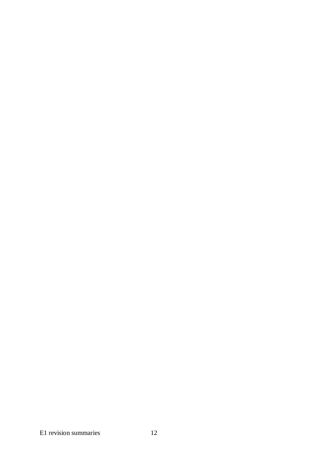E1 revision summaries 12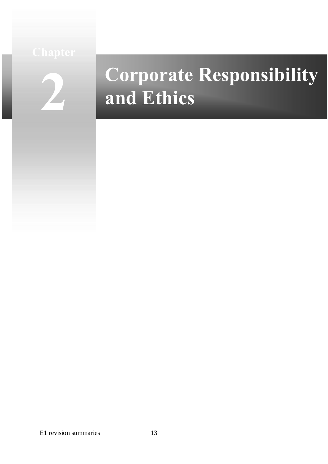

# **Corporate Responsibility and Ethics**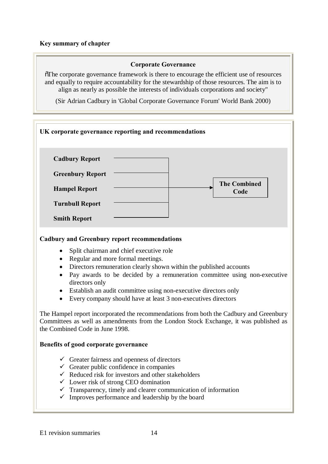# **Key summary of chapter**

#### **Corporate Governance**

"The corporate governance framework is there to encourage the efficient use of resources and equally to require accountability for the stewardship of those resources. The aim is to align as nearly as possible the interests of individuals corporations and society"

(Sir Adrian Cadbury in 'Global Corporate Governance Forum' World Bank 2000)



- $\checkmark$  Greater fairness and openness of directors
- $\checkmark$  Greater public confidence in companies
- $\checkmark$  Reduced risk for investors and other stakeholders
- $\checkmark$  Lower risk of strong CEO domination
- $\checkmark$  Transparency, timely and clearer communication of information
- $\checkmark$  Improves performance and leadership by the board

E1 revision summaries 14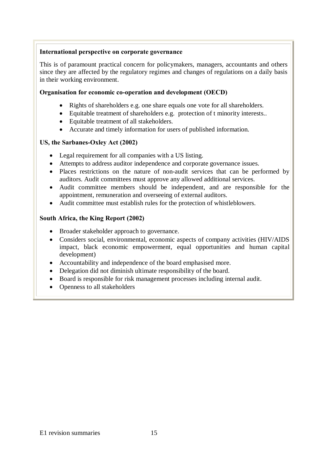# **International perspective on corporate governance**

This is of paramount practical concern for policymakers, managers, accountants and others since they are affected by the regulatory regimes and changes of regulations on a daily basis in their working environment.

## **Organisation for economic co-operation and development (OECD)**

- Rights of shareholders e.g. one share equals one vote for all shareholders.
- · Equitable treatment of shareholders e.g. protection of t minority interests..
- · Equitable treatment of all stakeholders.
- · Accurate and timely information for users of published information.

#### **US, the Sarbanes-Oxley Act (2002)**

- Legal requirement for all companies with a US listing.
- · Attempts to address auditor independence and corporate governance issues.
- · Places restrictions on the nature of non-audit services that can be performed by auditors. Audit committees must approve any allowed additional services.
- · Audit committee members should be independent, and are responsible for the appointment, remuneration and overseeing of external auditors.
- · Audit committee must establish rules for the protection of whistleblowers.

### **South Africa, the King Report (2002)**

- Broader stakeholder approach to governance.
- Considers social, environmental, economic aspects of company activities (HIV/AIDS) impact, black economic empowerment, equal opportunities and human capital development)
- Accountability and independence of the board emphasised more.
- Delegation did not diminish ultimate responsibility of the board.
- · Board is responsible for risk management processes including internal audit.
- · Openness to all stakeholders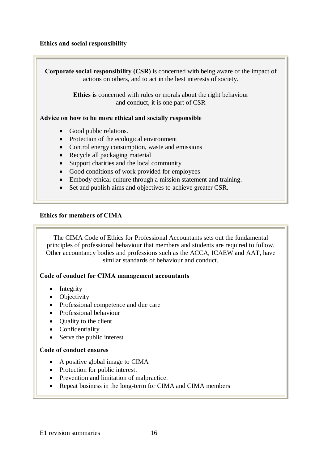# **Ethics and social responsibility**

**Corporate social responsibility (CSR)** is concerned with being aware of the impact of actions on others, and to act in the best interests of society. **Ethics** is concerned with rules or morals about the right behaviour and conduct, it is one part of CSR **Advice on how to be more ethical and socially responsible** • Good public relations. • Protection of the ecological environment • Control energy consumption, waste and emissions • Recycle all packaging material • Support charities and the local community • Good conditions of work provided for employees • Embody ethical culture through a mission statement and training.

Set and publish aims and objectives to achieve greater CSR.

#### **Ethics for members of CIMA**

The CIMA Code of Ethics for Professional Accountants sets out the fundamental principles of professional behaviour that members and students are required to follow. Other accountancy bodies and professions such as the ACCA, ICAEW and AAT, have similar standards of behaviour and conduct.

#### **Code of conduct for CIMA management accountants**

- Integrity
- Objectivity
- Professional competence and due care
- Professional behaviour
- Quality to the client
- Confidentiality
- Serve the public interest

#### **Code of conduct ensures**

- A positive global image to CIMA
- Protection for public interest.
- Prevention and limitation of malpractice.
- Repeat business in the long-term for CIMA and CIMA members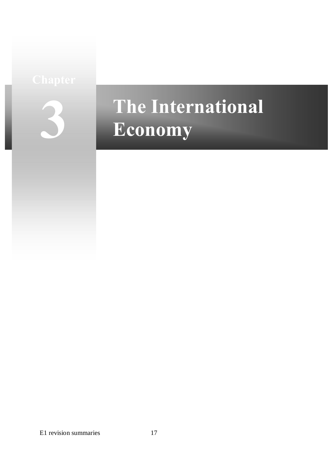

# **The International Economy**

E1 revision summaries 17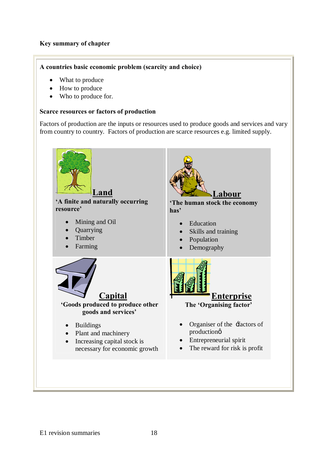# **Key summary of chapter**

# **A countries basic economic problem (scarcity and choice)**

- What to produce
- How to produce
- Who to produce for.

#### **Scarce resources or factors of production**

Factors of production are the inputs or resources used to produce goods and services and vary from country to country. Factors of production are scarce resources e.g. limited supply.

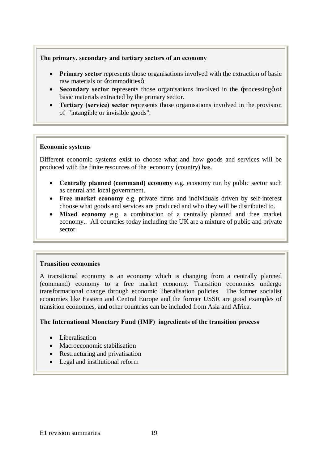# **The primary, secondary and tertiary sectors of an economy**

- · **Primary sector** represents those organisations involved with the extraction of basic raw materials or  $\div$ commodities of
- **Secondary sector** represents those organisations involved in the -processing of basic materials extracted by the primary sector.
- **Tertiary (service) sector** represents those organisations involved in the provision of "intangible or invisible goods".

### **Economic systems**

Different economic systems exist to choose what and how goods and services will be produced with the finite resources of the economy (country) has.

- · **Centrally planned (command) economy** e.g. economy run by public sector such as central and local government.
- · **Free market economy** e.g. private firms and individuals driven by self-interest choose what goods and services are produced and who they will be distributed to.
- · **Mixed economy** e.g. a combination of a centrally planned and free market economy.. All countries today including the UK are a mixture of public and private sector.

#### **Transition economies**

A transitional economy is an economy which is changing from a centrally planned (command) economy to a free market economy. Transition economies undergo transformational change through economic liberalisation policies. The former socialist economies like Eastern and Central Europe and the former USSR are good examples of transition economies, and other countries can be included from Asia and Africa.

# **The International Monetary Fund (IMF) ingredients of the transition process**

- Liberalisation
- · Macroeconomic stabilisation
- Restructuring and privatisation
- Legal and institutional reform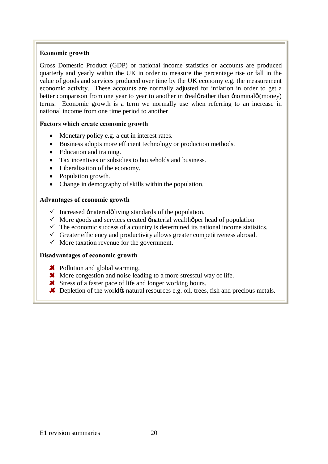# **Economic growth**

Gross Domestic Product (GDP) or national income statistics or accounts are produced quarterly and yearly within the UK in order to measure the percentage rise or fall in the value of goods and services produced over time by the UK economy e.g. the measurement economic activity. These accounts are normally adjusted for inflation in order to get a better comparison from one year to year to another in -real grather than -nominal  $\phi$  (money) terms. Economic growth is a term we normally use when referring to an increase in national income from one time period to another

### **Factors which create economic growth**

- Monetary policy e.g. a cut in interest rates.
- · Business adopts more efficient technology or production methods.
- Education and training.
- · Tax incentives or subsidies to households and business.
- · Liberalisation of the economy.
- Population growth.
- Change in demography of skills within the population.

### **Advantages of economic growth**

- $\checkmark$  Increased -material pliving standards of the population.
- $\checkmark$  More goods and services created -material wealth  $\phi$  per head of population
- $\checkmark$  The economic success of a country is determined its national income statistics.
- $\checkmark$  Greater efficiency and productivity allows greater competitiveness abroad.
- $\checkmark$  More taxation revenue for the government.

#### **Disadvantages of economic growth**

- **X** Pollution and global warming.
- **X** More congestion and noise leading to a more stressful way of life.
- Stress of a faster pace of life and longer working hours.
- $\blacktriangleright$  Depletion of the world $\alpha$  natural resources e.g. oil, trees, fish and precious metals.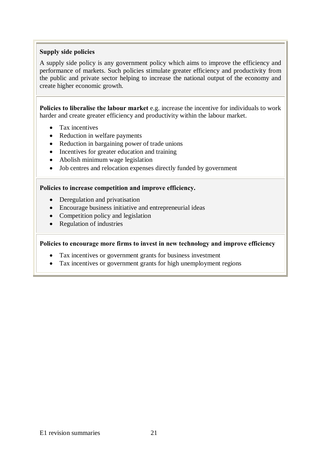### **Supply side policies**

A supply side policy is any government policy which aims to improve the efficiency and performance of markets. Such policies stimulate greater efficiency and productivity from the public and private sector helping to increase the national output of the economy and create higher economic growth.

**Policies to liberalise the labour market** e.g. increase the incentive for individuals to work harder and create greater efficiency and productivity within the labour market.

- Tax incentives
- Reduction in welfare payments
- Reduction in bargaining power of trade unions
- Incentives for greater education and training
- Abolish minimum wage legislation
- Job centres and relocation expenses directly funded by government

#### **Policies to increase competition and improve efficiency.**

- Deregulation and privatisation
- · Encourage business initiative and entrepreneurial ideas
- Competition policy and legislation
- · Regulation of industries

**Policies to encourage more firms to invest in new technology and improve efficiency** 

- Tax incentives or government grants for business investment
- · Tax incentives or government grants for high unemployment regions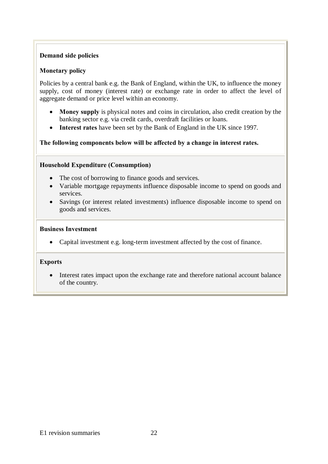# **Demand side policies**

# **Monetary policy**

Policies by a central bank e.g. the Bank of England, within the UK, to influence the money supply, cost of money (interest rate) or exchange rate in order to affect the level of aggregate demand or price level within an economy.

- · **Money supply** is physical notes and coins in circulation, also credit creation by the banking sector e.g. via credit cards, overdraft facilities or loans.
- · **Interest rates** have been set by the Bank of England in the UK since 1997.

# **The following components below will be affected by a change in interest rates.**

# **Household Expenditure (Consumption)**

- The cost of borrowing to finance goods and services.
- · Variable mortgage repayments influence disposable income to spend on goods and services.
- · Savings (or interest related investments) influence disposable income to spend on goods and services.

#### **Business Investment**

• Capital investment e.g. long-term investment affected by the cost of finance.

#### **Exports**

• Interest rates impact upon the exchange rate and therefore national account balance of the country.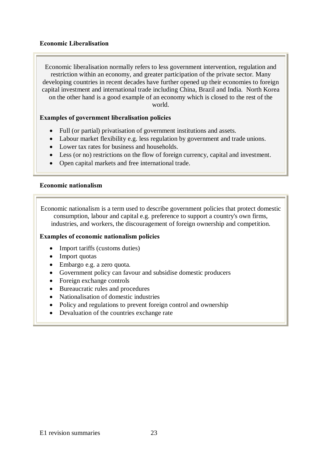# **Economic Liberalisation**

Economic liberalisation normally refers to less government intervention, regulation and restriction within an economy, and greater participation of the private sector. Many developing countries in recent decades have further opened up their economies to foreign capital investment and international trade including [China,](http://en.wikipedia.org/wiki/China) [Brazil](http://en.wikipedia.org/wiki/Brazil) and [India.](http://en.wikipedia.org/wiki/India) North Korea on the other hand is a good example of an economy which is closed to the rest of the world.

### **Examples of government liberalisation policies**

- Full (or partial) privatisation of government institutions and assets.
- · Labour market flexibility e.g. less regulation by government and trade unions.
- · Lower tax rates for business and households.
- · Less (or no) restrictions on the flow of foreign currency, capital and investment.
- · Open capital markets and free international trade.

#### **Economic nationalism**

Economic nationalism is a term used to describe government policies that protect domestic consumption, labour and capital e.g. preference to support a country's own firms, industries, and workers, the discouragement of foreign ownership and competition.

#### **Examples of economic nationalism policies**

- Import tariffs (customs duties)
- Import quotas
- · Embargo e.g. a zero quota.
- · Government policy can favour and subsidise domestic producers
- Foreign exchange controls
- · Bureaucratic rules and procedures
- · Nationalisation of domestic industries
- Policy and regulations to prevent foreign control and ownership
- Devaluation of the countries exchange rate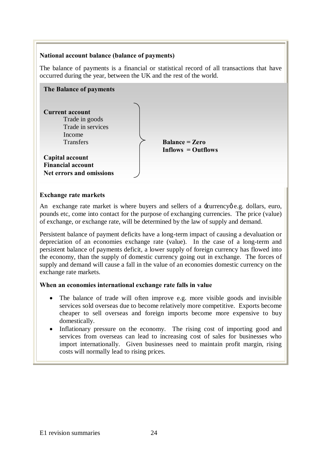# **National account balance (balance of payments)**

The balance of payments is a financial or statistical record of all transactions that have occurred during the year, between the UK and the rest of the world.



#### **Exchange rate markets**

An exchange rate market is where buyers and sellers of a  $\pm$ currency  $\phi$  e.g. dollars, euro, pounds etc, come into contact for the purpose of exchanging currencies. The price (value) of exchange, or exchange rate, will be determined by the law of supply and demand.

Persistent balance of payment deficits have a long-term impact of causing a devaluation or depreciation of an economies exchange rate (value). In the case of a long-term and persistent balance of payments deficit, a lower supply of foreign currency has flowed into the economy, than the supply of domestic currency going out in exchange. The forces of supply and demand will cause a fall in the value of an economies domestic currency on the exchange rate markets.

#### **When an economies international exchange rate falls in value**

- The balance of trade will often improve e.g. more visible goods and invisible services sold overseas due to become relatively more competitive. Exports become cheaper to sell overseas and foreign imports become more expensive to buy domestically.
- · Inflationary pressure on the economy. The rising cost of importing good and services from overseas can lead to increasing cost of sales for businesses who import internationally. Given businesses need to maintain profit margin, rising costs will normally lead to rising prices.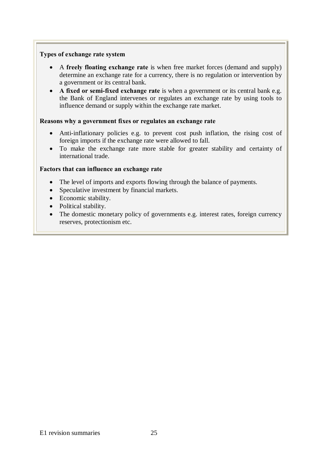### **Types of exchange rate system**

- · A **freely floating exchange rate** is when free market forces (demand and supply) determine an exchange rate for a currency, there is no regulation or intervention by a government or its central bank.
- · **A fixed or semi-fixed exchange rate** is when a government or its central bank e.g. the Bank of England intervenes or regulates an exchange rate by using tools to influence demand or supply within the exchange rate market.

#### **Reasons why a government fixes or regulates an exchange rate**

- · Anti-inflationary policies e.g. to prevent cost push inflation, the rising cost of foreign imports if the exchange rate were allowed to fall.
- · To make the exchange rate more stable for greater stability and certainty of international trade.

#### **Factors that can influence an exchange rate**

- The level of imports and exports flowing through the balance of payments.
- Speculative investment by financial markets.
- · Economic stability.
- Political stability.
- The domestic monetary policy of governments e.g. interest rates, foreign currency reserves, protectionism etc.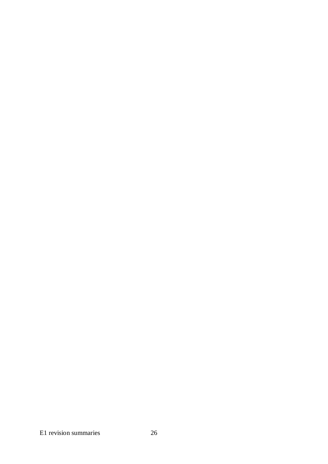E1 revision summaries 26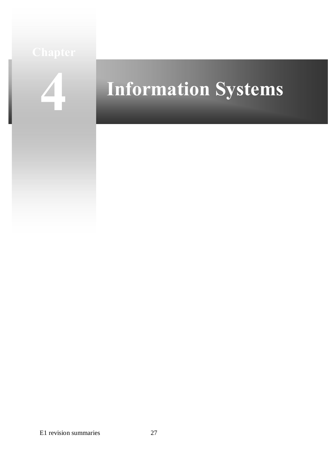

# **Information Systems**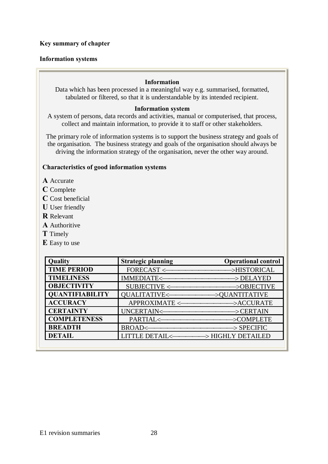# **Key summary of chapter**

#### **Information systems**

#### **Information**

Data which has been processed in a meaningful way e.g. summarised, formatted, tabulated or filtered, so that it is understandable by its intended recipient.

#### **Information system**

A system of persons, data records and activities, manual or computerised, that process, collect and maintain information, to provide it to staff or other stakeholders.

The primary role of information systems is to support the business strategy and goals of the organisation. The business strategy and goals of the organisation should always be driving the information strategy of the organisation, never the other way around.

#### **Characteristics of good information systems**

- **A** Accurate
- **C** Complete
- **C** Cost beneficial
- **U** User friendly
- **R** Relevant
- **A** Authoritive
- **T** Timely
- **E** Easy to use

| Quality                | <b>Strategic planning</b>                             | <b>Operational control</b>                               |
|------------------------|-------------------------------------------------------|----------------------------------------------------------|
| <b>TIME PERIOD</b>     |                                                       |                                                          |
| <b>TIMELINESS</b>      | IMMEDIATE<----------------------------------->DELAYED |                                                          |
| <b>OBJECTIVITY</b>     |                                                       | SUBJECTIVE <---------------------------------->OBJECTIVE |
| <b>QUANTIFIABILITY</b> |                                                       | ->QUANTITATIVE                                           |
| <b>ACCURACY</b>        |                                                       | APPROXIMATE <--------------------->ACCURATE              |
| <b>CERTAINTY</b>       |                                                       |                                                          |
| <b>COMPLETENESS</b>    |                                                       |                                                          |
| <b>BREADTH</b>         |                                                       |                                                          |
| <b>DETAIL</b>          | LITTLE DETAIL<-------------> HIGHLY DETAILED          |                                                          |
|                        |                                                       |                                                          |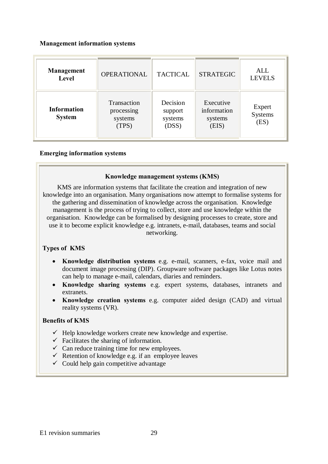### **Management information systems**

| <b>Management</b><br>Level          | <b>OPERATIONAL</b>                            | <b>TACTICAL</b>                         | <b>STRATEGIC</b>                             | ALL<br><b>LEVELS</b>      |
|-------------------------------------|-----------------------------------------------|-----------------------------------------|----------------------------------------------|---------------------------|
| <b>Information</b><br><b>System</b> | Transaction<br>processing<br>systems<br>(TPS) | Decision<br>support<br>systems<br>(DSS) | Executive<br>information<br>systems<br>(EIS) | Expert<br>Systems<br>(ES) |

#### **Emerging information systems**

### **Knowledge management systems (KMS)**

KMS are information systems that facilitate the creation and integration of new knowledge into an organisation. Many organisations now attempt to formalise systems for the gathering and dissemination of knowledge across the organisation. Knowledge management is the process of trying to collect, store and use knowledge within the organisation. Knowledge can be formalised by designing processes to create, store and use it to become explicit knowledge e.g. intranets, e-mail, databases, teams and social networking.

# **Types of KMS**

- · **Knowledge distribution systems** e.g. e-mail, scanners, e-fax, voice mail and document image processing (DIP). Groupware software packages like Lotus notes can help to manage e-mail, calendars, diaries and reminders.
- · **Knowledge sharing systems** e.g. expert systems, databases, intranets and extranets.
- · **Knowledge creation systems** e.g. computer aided design (CAD) and virtual reality systems (VR).

#### **Benefits of KMS**

- $\checkmark$  Help knowledge workers create new knowledge and expertise.
- $\checkmark$  Facilitates the sharing of information.
- $\checkmark$  Can reduce training time for new employees.
- $\checkmark$  Retention of knowledge e.g. if an employee leaves
- $\checkmark$  Could help gain competitive advantage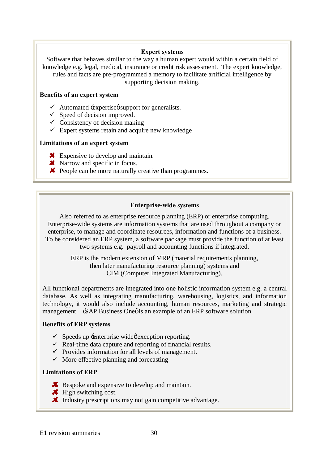#### **Expert systems**

Software that behaves similar to the way a human expert would within a certain field of knowledge e.g. legal, medical, insurance or credit risk assessment. The expert knowledge, rules and facts are pre-programmed a memory to facilitate artificial intelligence by supporting decision making.

#### **Benefits of an expert system**

- $\checkmark$  Automated  $\text{:=}$  expertise $\check{\phi}$  support for generalists.
- $\checkmark$  Speed of decision improved.
- $\checkmark$  Consistency of decision making
- $\checkmark$  Expert systems retain and acquire new knowledge

#### **Limitations of an expert system**

- **K** Expensive to develop and maintain.
- **X** Narrow and specific in focus.
- People can be more naturally creative than programmes.

#### **Enterprise-wide systems**

Also referred to as enterprise resource planning (ERP) or enterprise computing. Enterprise-wide systems are information systems that are used throughout a company or enterprise, to manage and coordinate resources, information and functions of a business. To be considered an ERP system, a software package must provide the function of at least two systems e.g. payroll and accounting functions if integrated.

> ERP is the modern extension of MRP (material requirements planning, then later manufacturing resource planning) systems and CIM (Computer Integrated Manufacturing).

All functional departments are integrated into one holistic information system e.g. a central database. As well as integrating manufacturing, warehousing, logistics, and information technology, it would also include accounting, human resources, marketing and strategic management.  $\Rightarrow$  SAP Business One *ø* is an example of an ERP software solution.

#### **Benefits of ERP systems**

- $\checkmark$  Speeds up -enterprise wides exception reporting.
- $\checkmark$  Real-time data capture and reporting of financial results.
- $\checkmark$  Provides information for all levels of management.
- $\checkmark$  More effective planning and forecasting

#### **Limitations of ERP**

- **B** Bespoke and expensive to develop and maintain.
- $\blacktriangleright$  High switching cost.
- Industry prescriptions may not gain competitive advantage.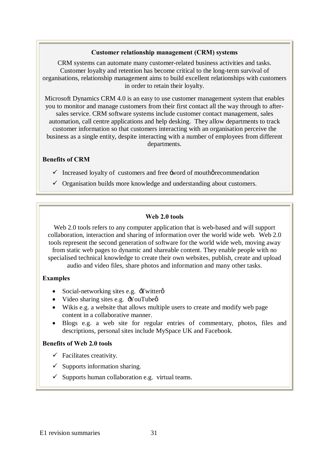#### **Customer relationship management (CRM) systems**

CRM systems can automate many customer-related business activities and tasks. Customer loyalty and retention has become critical to the long-term survival of organisations, relationship management aims to build excellent relationships with customers in order to retain their loyalty.

Microsoft Dynamics CRM 4.0 is an easy to use customer management system that enables you to monitor and manage customers from their first contact all the way through to aftersales service. CRM software systems include customer contact management, sales automation, call centre applications and help desking. They allow departments to track customer information so that customers interacting with an organisation perceive the business as a single entity, despite interacting with a number of employees from different departments.

#### **Benefits of CRM**

- $\checkmark$  Increased loyalty of customers and free -word of mouth grecommendation
- $\checkmark$  Organisation builds more knowledge and understanding about customers.

### **Web 2.0 tools**

Web 2.0 tools refers to any computer application that is web-based and will support collaboration, interaction and sharing of information over the world wide web. Web 2.0 tools represent the second generation of software for the world wide web, moving away from static web pages to dynamic and shareable content. They enable people with no specialised technical knowledge to create their own websites, publish, create and upload audio and video files, share photos and information and many other tasks.

#### **Examples**

- Social-networking sites e.g.  $\exists$  witter  $\emptyset$
- Video sharing sites e.g.  $\div$ YouTube $\emptyset$
- · Wikis e.g. a website that allows multiple users to create and modify web page content in a collaborative manner.
- · Blogs e.g. a web site for regular entries of commentary, photos, files and descriptions, personal sites include MySpace UK and Facebook.

# **Benefits of Web 2.0 tools**

- $\checkmark$  Facilitates creativity.
- $\checkmark$  Supports information sharing.
- $\checkmark$  Supports human collaboration e.g. virtual teams.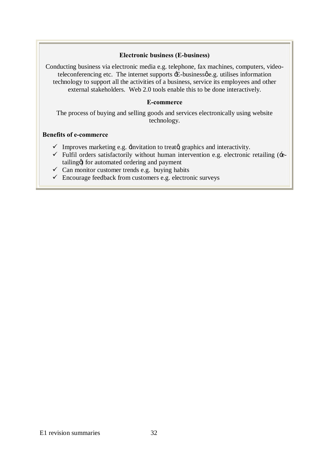#### **Electronic business (E-business)**

Conducting business via electronic media e.g. telephone, fax machines, computers, videoteleconferencing etc. The internet supports  $\pm$ -business $\phi$ e.g. utilises information technology to support all the activities of a business, service its employees and other external stakeholders. Web 2.0 tools enable this to be done interactively.

### **E-commerce**

The process of buying and selling goods and services electronically using website technology.

#### **Benefits of e-commerce**

- $\checkmark$  Improves marketing e.g.  $\checkmark$  invitation to treatd graphics and interactivity.
- $\checkmark$  Fulfil orders satisfactorily without human intervention e.g. electronic retailing ( $\div$ tailing) for automated ordering and payment
- $\checkmark$  Can monitor customer trends e.g. buying habits
- $\checkmark$  Encourage feedback from customers e.g. electronic surveys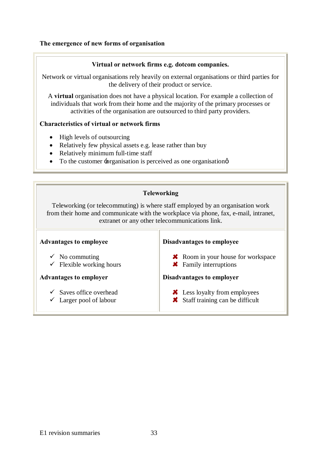### **The emergence of new forms of organisation**

#### **Virtual or network firms e.g. dotcom companies.**

Network or virtual organisations rely heavily on external organisations or third parties for the delivery of their product or service.

A **virtual** organisation does not have a physical location. For example a collection of individuals that work from their home and the majority of the primary processes or activities of the organisation are outsourced to third party providers.

### **Characteristics of virtual or network firms**

- High levels of outsourcing
- · Relatively few physical assets e.g. lease rather than buy
- · Relatively minimum full-time staff
- To the customer -organisation is perceived as one organisation  $\phi$

| <b>Teleworking</b><br>Teleworking (or telecommuting) is where staff employed by an organisation work<br>from their home and communicate with the workplace via phone, fax, e-mail, intranet,<br>extranet or any other telecommunications link. |                                                                                         |  |
|------------------------------------------------------------------------------------------------------------------------------------------------------------------------------------------------------------------------------------------------|-----------------------------------------------------------------------------------------|--|
| <b>Advantages to employee</b>                                                                                                                                                                                                                  | <b>Disadvantages to employee</b>                                                        |  |
| $\checkmark$ No commuting<br>$\checkmark$ Flexible working hours                                                                                                                                                                               | <b>×</b> Room in your house for workspace<br>$\boldsymbol{\times}$ Family interruptions |  |
| <b>Advantages to employer</b>                                                                                                                                                                                                                  | <b>Disadvantages to employer</b>                                                        |  |
| $\checkmark$ Saves office overhead<br>Larger pool of labour                                                                                                                                                                                    | <b>X</b> Less loyalty from employees<br>Staff training can be difficult                 |  |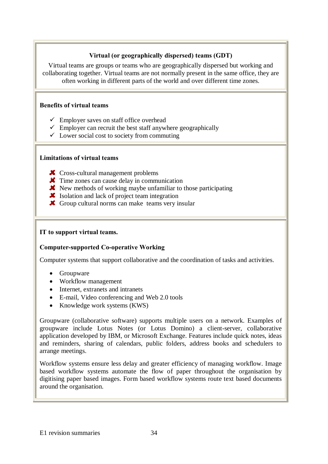# **Virtual (or geographically dispersed) teams (GDT)**

Virtual teams are groups or teams who are geographically dispersed but working and collaborating together. Virtual teams are not normally present in the same office, they are often working in different parts of the world and over different time zones.

## **Benefits of virtual teams**

- $\checkmark$  Employer saves on staff office overhead
- $\checkmark$  Employer can recruit the best staff anywhere geographically
- $\checkmark$  Lower social cost to society from commuting

#### **Limitations of virtual teams**

- **X** Cross-cultural management problems
- Time zones can cause delay in communication
- New methods of working maybe unfamiliar to those participating
- **X** Isolation and lack of project team integration
- Group cultural norms can make teams very insular

# **IT to support virtual teams.**

#### **Computer-supported Co-operative Working**

Computer systems that support collaborative and the coordination of tasks and activities.

- Groupware
- · Workflow management
- Internet, extranets and intranets
- · E-mail, Video conferencing and Web 2.0 tools
- Knowledge work systems (KWS)

Groupware (collaborative software) supports multiple users on a network. Examples of groupware include Lotus Notes (or Lotus Domino) a client-server, collaborative application developed by IBM, or Microsoft Exchange. Features include quick notes, ideas and reminders, sharing of calendars, public folders, address books and schedulers to arrange meetings.

Workflow systems ensure less delay and greater efficiency of managing workflow. Image based workflow systems automate the flow of paper throughout the organisation by digitising paper based images. Form based workflow systems route text based documents around the organisation.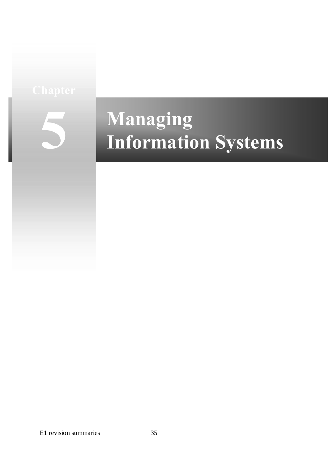

# **Managing Information Systems**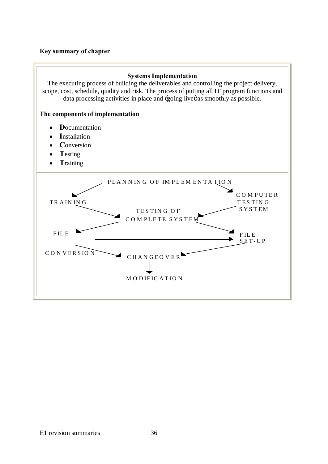# **Key summary of chapter**

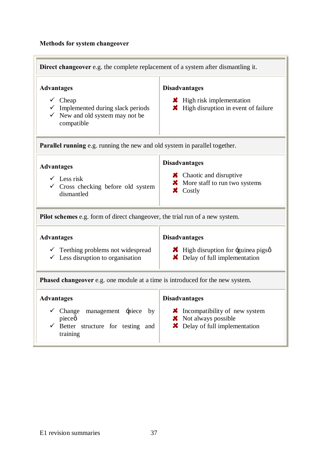# **Methods for system changeover**

| Direct changeover e.g. the complete replacement of a system after dismantling it.                                                                    |                                                                                                                                   |
|------------------------------------------------------------------------------------------------------------------------------------------------------|-----------------------------------------------------------------------------------------------------------------------------------|
| <b>Advantages</b><br>$\checkmark$ Cheap<br>$\checkmark$ Implemented during slack periods<br>$\checkmark$ New and old system may not be<br>compatible | <b>Disadvantages</b><br><b>*</b> High risk implementation<br>X High disruption in event of failure                                |
| Parallel running e.g. running the new and old system in parallel together.                                                                           |                                                                                                                                   |
| <b>Advantages</b><br>$\checkmark$ Less risk<br>$\checkmark$ Cross checking before old system<br>dismantled                                           | <b>Disadvantages</b><br><b>X</b> Chaotic and disruptive<br><b>X</b> More staff to run two systems<br>$\mathbf{\mathsf{X}}$ Costly |
| Pilot schemes e.g. form of direct changeover, the trial run of a new system.                                                                         |                                                                                                                                   |
| <b>Advantages</b><br>$\checkmark$ Teething problems not widespread<br>$\checkmark$ Less disruption to organisation                                   | <b>Disadvantages</b><br><b>X</b> High disruption for $\div$ guinea pigsø<br>× Delay of full implementation                        |
| Phased changeover e.g. one module at a time is introduced for the new system.                                                                        |                                                                                                                                   |
| <b>Advantages</b><br>$\checkmark$ Change management $\checkmark$ piece by<br>pieceø<br>$\checkmark$ Better structure for testing and<br>training     | <b>Disadvantages</b><br><b>x</b> Incompatibility of new system<br>X Not always possible<br>× Delay of full implementation         |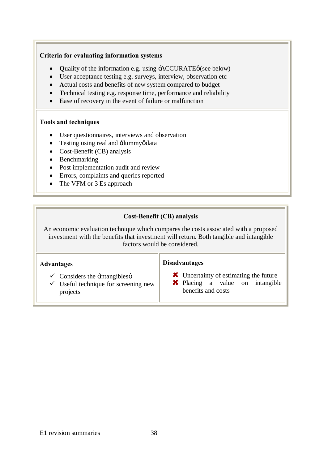# **Criteria for evaluating information systems**

- Quality of the information e.g. using  $\angle$ ACCURATE $\phi$  (see below)
- · **U**ser acceptance testing e.g. surveys, interview, observation etc
- · **A**ctual costs and benefits of new system compared to budget
- · **T**echnical testing e.g. response time, performance and reliability
- · **E**ase of recovery in the event of failure or malfunction

#### **Tools and techniques**

- · User questionnaires, interviews and observation
- Testing using real and  $\pm$ dummy $\emptyset$ data
- Cost-Benefit (CB) analysis
- Benchmarking
- Post implementation audit and review
- · Errors, complaints and queries reported
- The VFM or 3 Es approach

# **Cost-Benefit (CB) analysis**

An economic evaluation technique which compares the costs associated with a proposed investment with the benefits that investment will return. Both tangible and intangible factors would be considered.

## **Advantages**

#### **Disadvantages**

- $\checkmark$  Considers the  $\checkmark$  intangibles  $\check{\phi}$
- $\checkmark$  Useful technique for screening new projects

# **X** Uncertainty of estimating the future

**X** Placing a value on intangible benefits and costs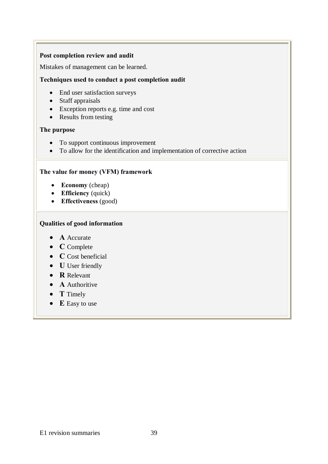# **Post completion review and audit**

Mistakes of management can be learned.

## **Techniques used to conduct a post completion audit**

- · End user satisfaction surveys
- Staff appraisals
- Exception reports e.g. time and cost
- Results from testing

# **The purpose**

- To support continuous improvement
- · To allow for the identification and implementation of corrective action

#### **The value for money (VFM) framework**

- · **Economy** (cheap)
- · **Efficiency** (quick)
- · **Effectiveness** (good)

# **Qualities of good information**

- · **A** Accurate
- · **C** Complete
- · **C** Cost beneficial
- · **U** User friendly
- · **R** Relevant
- · **A** Authoritive
- · **T** Timely
- · **E** Easy to use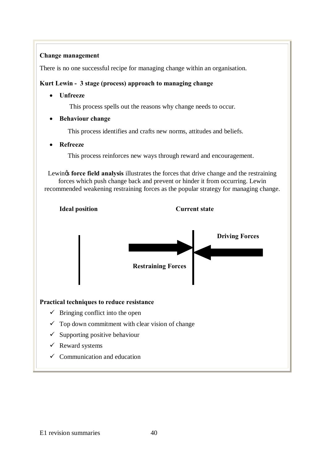# **Change management**

There is no one successful recipe for managing change within an organisation.

# **Kurt Lewin - 3 stage (process) approach to managing change**

· **Unfreeze** 

This process spells out the reasons why change needs to occur.

· **Behaviour change**

This process identifies and crafts new norms, attitudes and beliefs.

· **Refreeze**

This process reinforces new ways through reward and encouragement.

Lewings **force field analysis** illustrates the forces that drive change and the restraining forces which push change back and prevent or hinder it from occurring. Lewin recommended weakening restraining forces as the popular strategy for managing change.

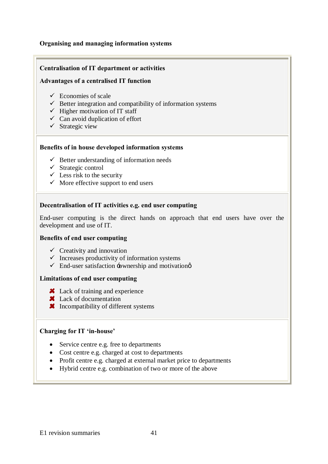# **Organising and managing information systems**

## **Centralisation of IT department or activities**

#### **Advantages of a centralised IT function**

- $\checkmark$  Economies of scale
- $\checkmark$  Better integration and compatibility of information systems
- $\checkmark$  Higher motivation of IT staff
- $\checkmark$  Can avoid duplication of effort
- $\checkmark$  Strategic view

#### **Benefits of in house developed information systems**

- $\checkmark$  Better understanding of information needs
- $\checkmark$  Strategic control
- $\checkmark$  Less risk to the security
- $\checkmark$  More effective support to end users

#### **Decentralisation of IT activities e.g. end user computing**

End-user computing is the direct hands on approach that end users have over the development and use of IT.

#### **Benefits of end user computing**

- $\checkmark$  Creativity and innovation
- $\checkmark$  Increases productivity of information systems
- $\checkmark$  End-user satisfaction -ownership and motivation  $\checkmark$

#### **Limitations of end user computing**

- **X** Lack of training and experience
- **X** Lack of documentation
- $\blacktriangleright$  Incompatibility of different systems

#### **Charging for IT 'in-house'**

- · Service centre e.g. free to departments
- Cost centre e.g. charged at cost to departments
- Profit centre e.g. charged at external market price to departments
- · Hybrid centre e.g. combination of two or more of the above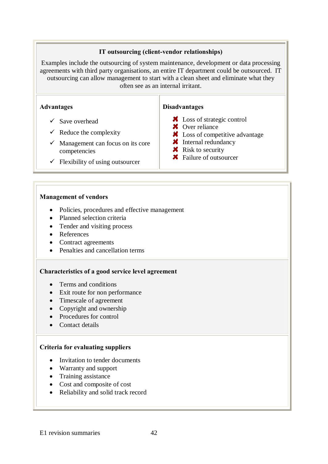# **IT outsourcing (client-vendor relationships)**

Examples include the outsourcing of system maintenance, development or data processing agreements with third party organisations, an entire IT department could be outsourced. IT outsourcing can allow management to start with a clean sheet and eliminate what they often see as an internal irritant.

## **Advantages**

- $\checkmark$  Save overhead
- $\checkmark$  Reduce the complexity
- $\checkmark$  Management can focus on its core competencies
- $\checkmark$  Flexibility of using outsourcer

# **Management of vendors**

- Policies, procedures and effective management
- · Planned selection criteria
- Tender and visiting process
- · References
- Contract agreements
- Penalties and cancellation terms

#### **Characteristics of a good service level agreement**

- Terms and conditions
- Exit route for non performance
- · Timescale of agreement
- Copyright and ownership
- Procedures for control
- Contact details

#### **Criteria for evaluating suppliers**

- Invitation to tender documents
- · Warranty and support
- Training assistance
- Cost and composite of cost
- Reliability and solid track record

# **Disadvantages**

- **X** Loss of strategic control
- **X** Over reliance
- **X** Loss of competitive advantage
- **X** Internal redundancy
- $\boldsymbol{\times}$  Risk to security
- Failure of outsourcer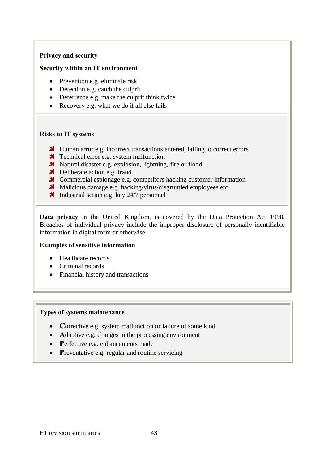# **Privacy and security**

## **Security within an IT environment**

- Prevention e.g. eliminate risk
- Detection e.g. catch the culprit
- · Deterrence e.g. make the culprit think twice
- Recovery e.g. what we do if all else fails

#### **Risks to IT systems**

- **X** Human error e.g. incorrect transactions entered, failing to correct errors
- **X** Technical error e.g. system malfunction
- Natural disaster e.g. explosion, lightning, fire or flood
- **X** Deliberate action e.g. fraud
- Commercial espionage e.g. competitors hacking customer information
- Malicious damage e.g. hacking/virus/disgruntled employees etc
- $\blacktriangleright$  Industrial action e.g. key 24/7 personnel

**Data privacy** in the United Kingdom, is covered by the Data Protection Act 1998. Breaches of individual privacy include the improper disclosure of personally identifiable information in digital form or otherwise.

#### **Examples of sensitive information**

- Healthcare records
- Criminal records
- Financial history and transactions

#### **Types of systems maintenance**

- **Corrective e.g. system malfunction or failure of some kind**
- **A**daptive e.g. changes in the processing environment
- · **P**erfective e.g. enhancements made
- · **P**reventative e.g. regular and routine servicing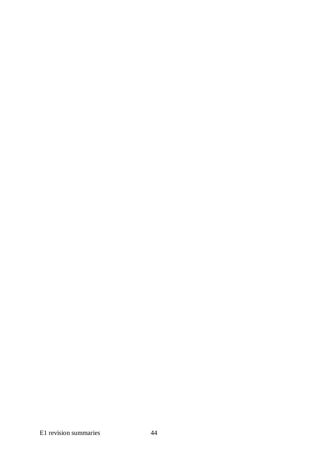E1 revision summaries 44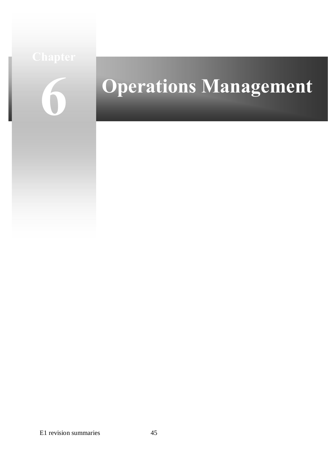

# **Operations Management**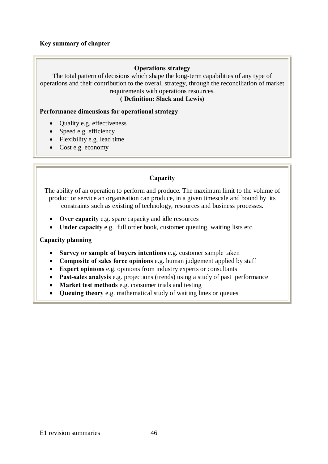# **Key summary of chapter**

# **Operations strategy**

The total pattern of decisions which shape the long-term capabilities of any type of operations and their contribution to the overall strategy, through the reconciliation of market requirements with operations resources.

## **( Definition: Slack and Lewis)**

#### **Performance dimensions for operational strategy**

- Quality e.g. effectiveness
- Speed e.g. efficiency
- Flexibility e.g. lead time
- Cost e.g. economy

# **Capacity**

The ability of an operation to perform and produce. The maximum limit to the volume of product or service an organisation can produce, in a given timescale and bound by its constraints such as existing of technology, resources and business processes.

- · **Over capacity** e.g. spare capacity and idle resources
- **Under capacity** e.g. full order book, customer queuing, waiting lists etc.

#### **Capacity planning**

- · **Survey or sample of buyers intentions** e.g. customer sample taken
- · **Composite of sales force opinions** e.g. human judgement applied by staff
- · **Expert opinions** e.g. opinions from industry experts or consultants
- · **Past-sales analysis** e.g. projections (trends) using a study of past performance
- · **Market test methods** e.g. consumer trials and testing
- · **Queuing theory** e.g. mathematical study of waiting lines or queues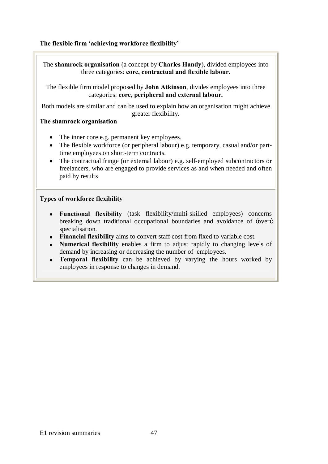**The flexible firm 'achieving workforce flexibility'**

The **shamrock organisation** (a concept by **Charles Handy**), divided employees into three categories: **core, contractual and flexible labour.** 

The flexible firm model proposed by **John Atkinson**, divides employees into three categories: **core, peripheral and external labour.**

Both models are similar and can be used to explain how an organisation might achieve greater flexibility.

**The shamrock organisation**

- The inner core e.g. permanent key employees.
- The flexible workforce (or peripheral labour) e.g. temporary, casual and/or parttime employees on short-term contracts.
- · The contractual fringe (or external labour) e.g. self-employed subcontractors or freelancers, who are engaged to provide services as and when needed and often paid by results

# **Types of workforce flexibility**

- · **Functional flexibility** (task flexibility/multi-skilled employees) concerns breaking down traditional occupational boundaries and avoidance of  $\div$ over $\phi$ specialisation.
- · **Financial flexibility** aims to convert staff cost from fixed to variable cost.
- · **Numerical flexibility** enables a firm to adjust rapidly to changing levels of demand by increasing or decreasing the number of employees.
- · **Temporal flexibility** can be achieved by varying the hours worked by employees in response to changes in demand.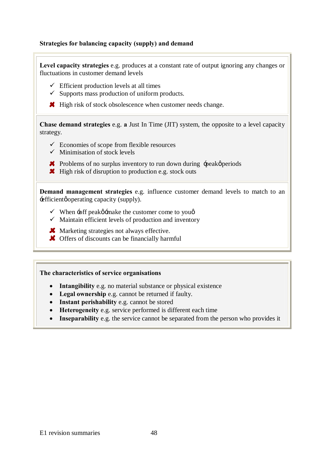# **Strategies for balancing capacity (supply) and demand**

**Level capacity strategies** e.g. produces at a constant rate of output ignoring any changes or fluctuations in customer demand levels

- $\checkmark$  Efficient production levels at all times
- $\checkmark$  Supports mass production of uniform products.

**K** High risk of stock obsolescence when customer needs change.

**Chase demand strategies** e.g. **a** Just In Time (JIT) system, the opposite to a level capacity strategy.

- $\checkmark$  Economies of scope from flexible resources
- $\checkmark$  Minimisation of stock levels
- $\blacktriangleright$  Problems of no surplus inventory to run down during  $\exists$  peak  $\emptyset$  periods
- $\blacktriangleright$  High risk of disruption to production e.g. stock outs

**Demand management strategies** e.g. influence customer demand levels to match to an  $\div$ efficient $\phi$  operating capacity (supply).

- $\checkmark$  When  $\hat{\tau}$  off peak $\phi$  -make the customer come to you $\phi$
- $\checkmark$  Maintain efficient levels of production and inventory
- **M** Marketing strategies not always effective.
- **X** Offers of discounts can be financially harmful

#### **The characteristics of service organisations**

- · **Intangibility** e.g. no material substance or physical existence
- · **Legal ownership** e.g. cannot be returned if faulty.
- · **Instant perishability** e.g. cannot be stored
- · **Heterogeneity** e.g. service performed is different each time
- **Inseparability** e.g. the service cannot be separated from the person who provides it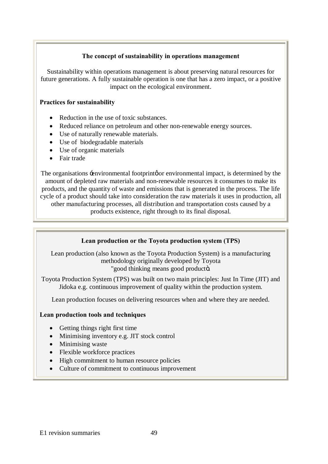# **The concept of sustainability in operations management**

Sustainability within operations management is about preserving natural resources for future generations. A fully sustainable operation is one that has a zero impact, or a positive impact on the ecological environment.

# **Practices for sustainability**

- Reduction in the use of toxic substances.
- · Reduced reliance on petroleum and other non-renewable energy sources.
- · Use of naturally renewable materials.
- · Use of biodegradable materials
- · Use of organic materials
- Fair trade

The organisations  $\pm$ nvironmental footprint or environmental impact, is determined by the amount of depleted raw materials and non-renewable resources it consumes to make its products, and the quantity of waste and emissions that is generated in the process. The life cycle of a product should take into consideration the raw materials it uses in production, all other manufacturing processes, all distribution and transportation costs caused by a products existence, right through to its final disposal.

# **Lean production or the Toyota production system (TPS)**

Lean production (also known as the Toyota Production System) is a manufacturing methodology originally developed by Toyota "good thinking means good productö.

Toyota Production System (TPS) was built on two main principles: Just In Time (JIT) and Jidoka e.g. continuous improvement of quality within the production system.

Lean production focuses on delivering resources when and where they are needed.

#### **Lean production tools and techniques**

- Getting things right first time
- Minimising inventory e.g. JIT stock control
- Minimising waste
- Flexible workforce practices
- High commitment to human resource policies
- · Culture of commitment to continuous improvement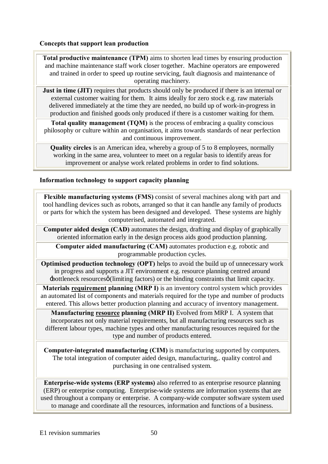# **Concepts that support lean production**

**Total productive maintenance (TPM)** aims to shorten lead times by ensuring production and machine maintenance staff work closer together. Machine operators are empowered and trained in order to speed up routine servicing, fault diagnosis and maintenance of operating machinery.

**Just in time (JIT)** requires that products should only be produced if there is an internal or external customer waiting for them. It aims ideally for zero stock e.g. raw materials delivered immediately at the time they are needed, no build up of work-in-progress in production and finished goods only produced if there is a customer waiting for them.

**Total quality management (TQM)** is the process of embracing a quality conscious philosophy or culture within an organisation, it aims towards standards of near perfection and continuous improvement.

**Quality circles** is an American idea, whereby a group of 5 to 8 employees, normally working in the same area, volunteer to meet on a regular basis to identify areas for improvement or analyse work related problems in order to find solutions.

# **Information technology to support capacity planning**

**Flexible manufacturing systems (FMS)** consist of several machines along with part and tool handling devices such as robots, arranged so that it can handle any family of products or parts for which the system has been designed and developed. These systems are highly computerised, automated and integrated.

**Computer aided design (CAD)** automates the design, drafting and display of graphically oriented information early in the design process aids good production planning.

**Computer aided manufacturing (CAM)** automates production e.g. robotic and programmable production cycles.

**Optimised production technology (OPT)** helps to avoid the build up of unnecessary work in progress and supports a JIT environment e.g. resource planning centred around  $\pm$ bottleneck resources (limiting factors) or the binding constraints that limit capacity.

**Materials requirement planning (MRP I)** is an inventory control system which provides an automated list of components and materials required for the type and number of products entered. This allows better production planning and accuracy of inventory management.

**Manufacturing resource planning (MRP II)** Evolved from MRP I. A system that incorporates not only material requirements, but all manufacturing resources such as different labour types, machine types and other manufacturing resources required for the type and number of products entered.

**Computer-integrated manufacturing (CIM)** is manufacturing supported by computers. The total integration of computer aided design, manufacturing,. quality control and purchasing in one centralised system.

**Enterprise-wide systems (ERP systems)** also referred to as enterprise resource planning (ERP) or enterprise computing. Enterprise-wide systems are information systems that are used throughout a company or enterprise. A company-wide computer software system used to manage and coordinate all the resources, information and functions of a business.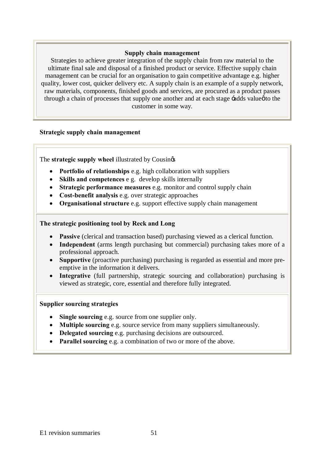## **Supply chain management**

Strategies to achieve greater integration of the supply chain from raw material to the ultimate final sale and disposal of a finished product or service. Effective supply chain management can be crucial for an organisation to gain competitive advantage e.g. higher quality, lower cost, quicker delivery etc. A supply chain is an example of a supply network, raw materials, components, finished goods and services, are procured as a product passes through a chain of processes that supply one another and at each stage -adds value  $\phi$  to the customer in some way.

# **Strategic supply chain management**

The **strategic supply wheel** illustrated by Cousings

- **Portfolio of relationships** e.g. high collaboration with suppliers
- · **Skills and competences** e g. develop skills internally
- · **Strategic performance measures** e.g. monitor and control supply chain
- · **Cost-benefit analysis** e.g. over strategic approaches
- · **Organisational structure** e.g. support effective supply chain management

# **The strategic positioning tool by Reck and Long**

- · **Passive** (clerical and transaction based) purchasing viewed as a clerical function.
- · **Independent** (arms length purchasing but commercial) purchasing takes more of a professional approach.
- · **Supportive** (proactive purchasing) purchasing is regarded as essential and more preemptive in the information it delivers.
- · **Integrative** (full partnership, strategic sourcing and collaboration) purchasing is viewed as strategic, core, essential and therefore fully integrated.

# **Supplier sourcing strategies**

- **Single sourcing** e.g. source from one supplier only.
- · **Multiple sourcing** e.g. source service from many suppliers simultaneously.
- · **Delegated sourcing** e.g. purchasing decisions are outsourced.
- · **Parallel sourcing** e.g. a combination of two or more of the above.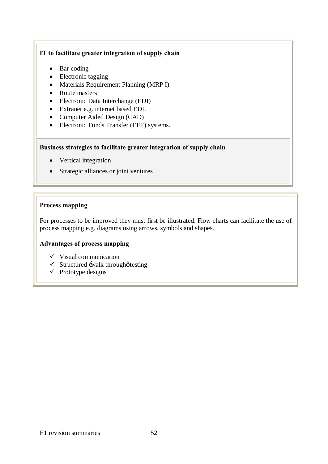# **IT to facilitate greater integration of supply chain**

- Bar coding
- Electronic tagging
- Materials Requirement Planning (MRP I)
- Route masters
- · Electronic Data Interchange (EDI)
- · Extranet e.g. internet based EDI.
- Computer Aided Design (CAD)
- · Electronic Funds Transfer (EFT) systems.

# **Business strategies to facilitate greater integration of supply chain**

- Vertical integration
- · Strategic alliances or joint ventures

# **Process mapping**

For [processes](http://en.wikipedia.org/wiki/Business_processes) to be improved they must first be illustrated. Flow charts can facilitate the use of process mapping e.g. diagrams using arrows, symbols and shapes.

# **Advantages of process mapping**

- $\checkmark$  Visual communication
- $\checkmark$  Structured -walk through testing
- $\checkmark$  Prototype designs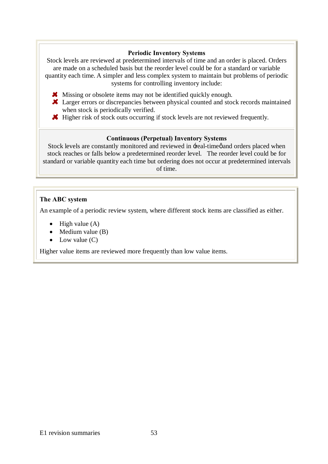# **Periodic Inventory Systems**

Stock levels are reviewed at predetermined intervals of time and an order is placed. Orders are made on a scheduled basis but the reorder level could be for a standard or variable quantity each time. A simpler and less complex system to maintain but problems of periodic systems for controlling inventory include:

- **X** Missing or obsolete items may not be identified quickly enough.
- **X** Larger errors or discrepancies between physical counted and stock records maintained when stock is periodically verified.
- **K** Higher risk of stock outs occurring if stock levels are not reviewed frequently.

#### **Continuous (Perpetual) Inventory Systems**

Stock levels are constantly monitored and reviewed in -real-time and orders placed when stock reaches or falls below a predetermined reorder level. The reorder level could be for standard or variable quantity each time but ordering does not occur at predetermined intervals of time.

# **The ABC system**

An example of a periodic review system, where different stock items are classified as either.

- High value  $(A)$
- Medium value (B)
- Low value  $(C)$

Higher value items are reviewed more frequently than low value items.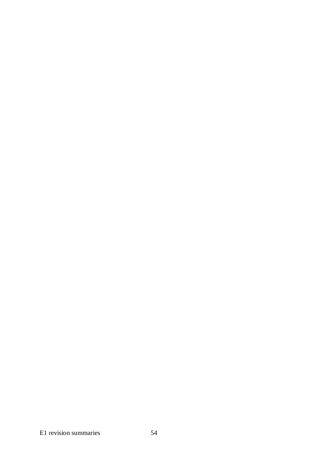E1 revision summaries 54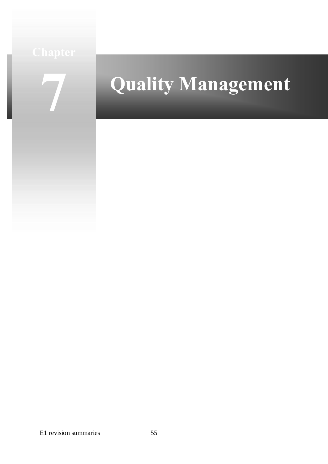

# **Quality Management**

E1 revision summaries 55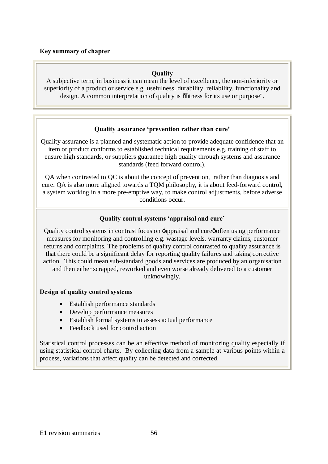# **Key summary of chapter**

#### **Quality**

A subjective term, in business it can mean the level of excellence, the non-inferiority or superiority of a product or service e.g. [usefulness](http://en.wikipedia.org/wiki/Utility), durability, reliability, functionality and design. A common interpretation of quality is  $\delta$  fitness for its use or purpose".

#### **Quality assurance 'prevention rather than cure'**

Quality assurance is a planned and systematic action to provide adequate confidence that an item or product conforms to established technical requirements e.g. training of staff to ensure high standards, or suppliers guarantee high quality through systems and assurance standards (feed forward control).

QA when contrasted to QC is about the concept of prevention, rather than diagnosis and cure. QA is also more aligned towards a TQM philosophy, it is about feed-forward control, a system working in a more pre-emptive way, to make control adjustments, before adverse conditions occur.

#### **Quality control systems 'appraisal and cure'**

Quality control systems in contrast focus on -appraisal and cure often using performance measures for monitoring and controlling e.g. wastage levels, warranty claims, customer returns and complaints. The problems of quality control contrasted to quality assurance is that there could be a significant delay for reporting quality failures and taking corrective action. This could mean sub-standard goods and services are produced by an organisation and then either scrapped, reworked and even worse already delivered to a customer unknowingly.

#### **Design of quality control systems**

- Establish performance standards
- Develop performance measures
- Establish formal systems to assess actual performance
- Feedback used for control action

Statistical control processes can be an effective method of monitoring quality especially if using statistical [control charts.](http://en.wikipedia.org/wiki/Control_chart) By collecting data from a sample at various points within a process, variations that affect quality can be detected and corrected.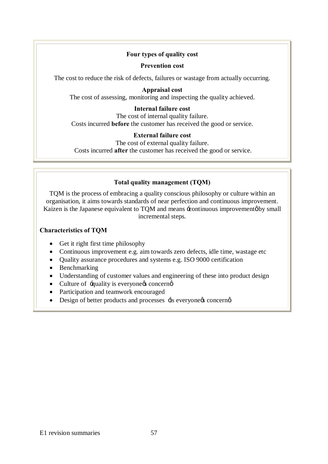# **Four types of quality cost**

#### **Prevention cost**

The cost to reduce the risk of defects, failures or wastage from actually occurring.

## **Appraisal cost**

The cost of assessing, monitoring and inspecting the quality achieved.

# **Internal failure cost**

The cost of internal quality failure. Costs incurred **before** the customer has received the good or service.

# **External failure cost**

The cost of external quality failure.

Costs incurred **after** the customer has received the good or service.

# **Total quality management (TQM)**

TQM is the process of embracing a quality conscious philosophy or culture within an organisation, it aims towards standards of near perfection and continuous improvement. Kaizen is the [Japanese](http://en.wikipedia.org/wiki/Japanese_language) equivalent to TQM and means -continuous improvementøby small incremental steps.

# **Characteristics of TQM**

- Get it right first time philosophy
- Continuous improvement e.g. aim towards zero defects, idle time, wastage etc
- · Quality assurance procedures and systems e.g. ISO 9000 certification
- Benchmarking
- Understanding of customer values and engineering of these into product design
- Culture of  $\div$ quality is everyone  $\&$  concerned
- Participation and teamwork encouraged
- Design of better products and processes  $\exists$ is everyone $\&$  concern $\&$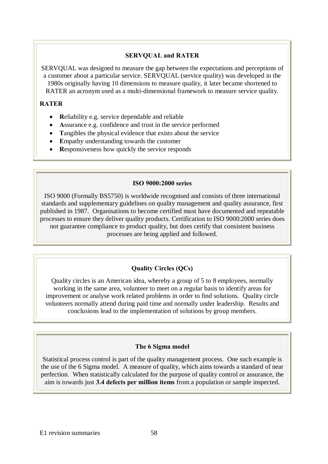# **SERVQUAL and RATER**

SERVQUAL was designed to measure the gap between the expectations and perceptions of a customer about a particular service. SERVQUAL (service quality) was developed in the 1980s originally having 10 dimensions to measure quality, it later became shortened to RATER an acronym used as a multi-dimensional framework to measure service quality.

# **RATER**

- · **R**eliability e.g. service dependable and reliable
- · **A**ssurance e.g. confidence and trust in the service performed
- · **T**angibles the physical evidence that exists about the service
- · **E**mpathy understanding towards the customer
- **Responsiveness how quickly the service responds**

#### **ISO 9000:2000 series**

ISO 9000 (Formally BS5750) is worldwide recognised and consists of three international standards and supplementary guidelines on quality management and quality assurance, first published in 1987. Organisations to become certified must have documented and repeatable processes to ensure they deliver quality products. Certification to ISO 9000:2000 series does not guarantee compliance to product quality, but does certify that consistent business processes are being applied and followed.

# **Quality Circles (QCs)**

Quality circles is an American idea, whereby a group of 5 to 8 employees, normally working in the same area, volunteer to meet on a regular basis to identify areas for improvement or analyse work related problems in order to find solutions. Quality circle volunteers normally attend during paid time and normally under leadership. Results and conclusions lead to the implementation of solutions by group members.

#### **The 6 Sigma model**

Statistical process control is part of the quality management process. One such example is the use of the 6 Sigma model. A measure of quality, which aims towards a standard of near perfection. When statistically calculated for the purpose of quality control or assurance, the aim is towards just **3.4 defects per million items** from a population or sample inspected.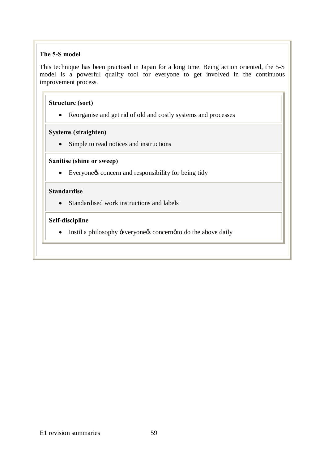# **The 5-S model**

This technique has been practised in Japan for a long time. Being action oriented, the 5-S model is a powerful quality tool for everyone to get involved in the continuous improvement process.

# **Structure (sort)**

· Reorganise and get rid of old and costly systems and processes

# **Systems (straighten)**

• Simple to read notices and instructions

# **Sanitise (shine or sweep)**

• Everyone $\circ$  concern and responsibility for being tidy

# **Standardise**

• Standardised work instructions and labels

# **Self-discipline**

• Instil a philosophy  $\div$  everyone  $\&$  concerne to do the above daily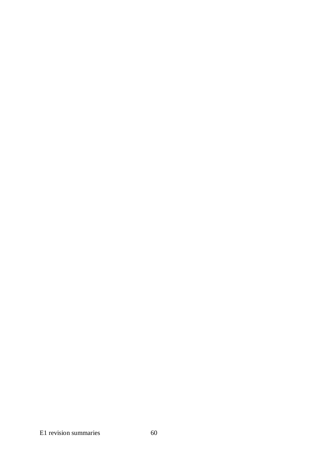E1 revision summaries 60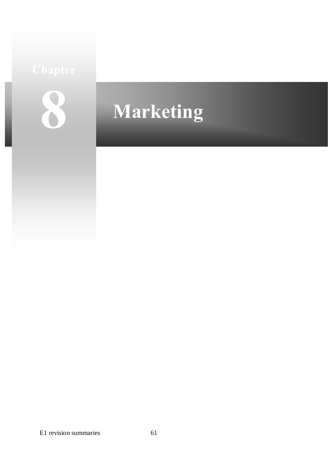

# **Marketing**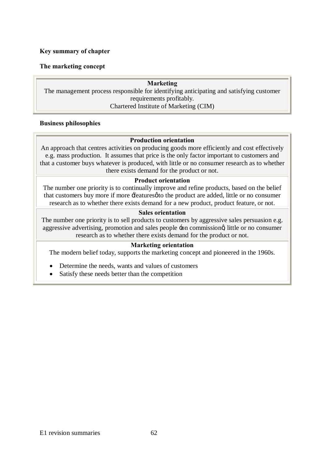# **Key summary of chapter**

# **The marketing concept**

#### **Marketing**

The management process responsible for identifying anticipating and satisfying customer requirements profitably. Chartered Institute of Marketing (CIM)

#### **Business philosophies**

#### **Production orientation**

An approach that centres activities on producing goods more efficiently and cost effectively e.g. mass production. It assumes that price is the only factor important to customers and that a customer buys whatever is produced, with little or no consumer research as to whether there exists demand for the product or not.

#### **Product orientation**

The number one priority is to continually improve and refine products, based on the belief that customers buy more if more  $\pm$ featuresøto the product are added, little or no consumer research as to whether there exists demand for a new product, product feature, or not.

#### **Sales orientation**

The number one priority is to sell products to customers by aggressive sales persuasion e.g. aggressive advertising, promotion and sales people  $\div$ on commissiong little or no consumer research as to whether there exists demand for the product or not.

# **Marketing orientation**

The modern belief today, supports the marketing concept and pioneered in the 1960s.

- Determine the needs, wants and values of customers
- Satisfy these needs better than the competition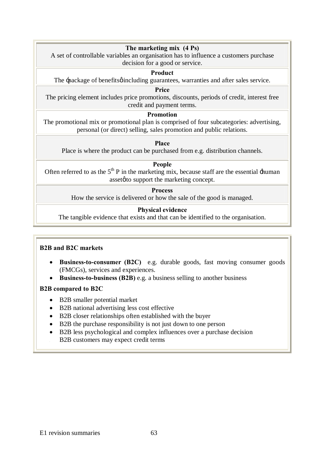# **The marketing mix (4 Ps)**

A set of controllable variables an organisation has to influence a customers purchase decision for a good or service.

#### **Product**

The -package of benefits oincluding guarantees, warranties and after sales service.

#### **Price**

The pricing element includes price promotions, discounts, periods of credit, interest free credit and payment terms.

# **Promotion**

The promotional mix or promotional plan is comprised of four subcategories: advertising, personal (or direct) selling, sales promotion and public relations.

#### **Place**

Place is where the product can be purchased from e.g. distribution channels.

# **People**

Often referred to as the  $5<sup>th</sup>$  P in the marketing mix, because staff are the essential  $\pm$ human asset $\phi$  to support the marketing concept.

#### **Process**

How the service is delivered or how the sale of the good is managed.

#### **Physical evidence**

The tangible evidence that exists and that can be identified to the organisation.

#### **B2B and B2C markets**

- · **Business-to-consumer (B2C)** e.g. durable goods, fast moving consumer goods (FMCGs), services and experiences.
- · **Business-to-business (B2B)** e.g. a business selling to another business

#### **B2B compared to B2C**

- · B2B smaller potential market
- · B2B national advertising less cost effective
- · B2B closer relationships often established with the buyer
- · B2B the purchase responsibility is not just down to one person
- · B2B less psychological and complex influences over a purchase decision
- B2B customers may expect credit terms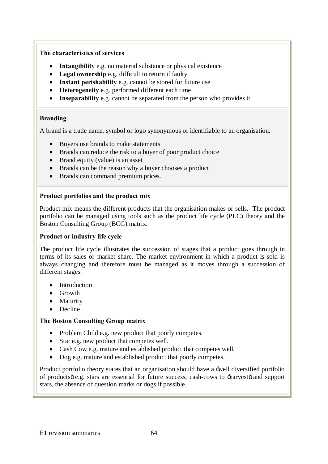# **The characteristics of services**

- · **Intangibility** e.g. no material substance or physical existence
- · **Legal ownership** e.g. difficult to return if faulty
- · **Instant perishability** e.g. cannot be stored for future use
- · **Heterogeneity** e.g. performed different each time
- · **Inseparability** e.g. cannot be separated from the person who provides it

# **Branding**

A brand is a trade name, symbol or logo synonymous or identifiable to an organisation.

- · Buyers use brands to make statements
- Brands can reduce the risk to a buyer of poor product choice
- Brand equity (value) is an asset
- Brands can be the reason why a buyer chooses a product
- Brands can command premium prices.

#### **Product portfolios and the product mix**

Product mix means the different products that the organisation makes or sells. The product portfolio can be managed using tools such as the product life cycle (PLC) theory and the Boston Consulting Group (BCG) matrix.

#### **Product or industry life cycle**

The product life cycle illustrates the succession of stages that a product goes through in terms of its sales or market share. The market environment in which a product is sold is always changing and therefore must be managed as it moves through a succession of different stages.

- Introduction
- Growth
- Maturity
- Decline

#### **The Boston Consulting Group matrix**

- Problem Child e.g. new product that poorly competes.
- Star e.g. new product that competes well.
- Cash Cow e.g. mature and established product that competes well.
- Dog e.g. mature and established product that poorly competes.

Product portfolio theory states that an organisation should have a 'well diversified portfolio of products *o* e.g. stars are essential for future success, cash-cows to -harvest *o* and support stars, the absence of question marks or dogs if possible.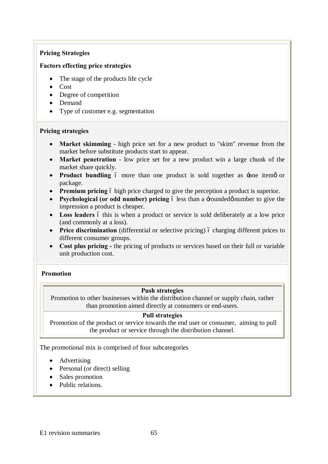# **Pricing Strategies**

# **Factors effecting price strategies**

- The stage of the products life cycle
- · Cost
- Degree of competition
- · Demand
- Type of customer e.g. segmentation

# **Pricing strategies**

- · **Market skimming** high price set for a new product to "skim" revenue from the market before substitute products start to appear.
- · **Market penetration** low price set for a new product win a large chunk of the market share quickly.
- **Product bundling** 6 more than one product is sold together as  $\div$ one item or package.
- **Premium pricing** 6 high price charged to give the perception a product is superior.
- **Psychological (or odd number) pricing**  $\acute{o}$  less than a  $\pm$ ounded $\acute{o}$  number to give the impression a product is cheaper.
- Loss leaders 6 this is when a product or service is sold deliberately at a low price (and commonly at a loss).
- Price discrimination (differential or selective pricing) 6 charging different prices to different consumer groups.
- · **Cost plus pricing -** the pricing of products or services based on their full or variable unit production cost.

# **Promotion**

# **Push strategies**

Promotion to other businesses within the distribution channel or supply chain, rather than promotion aimed directly at consumers or end-users.

# **Pull strategies**

Promotion of the product or service towards the end user or consumer, aiming to pull the product or service through the distribution channel.

The promotional mix is comprised of four subcategories

- Advertising
- Personal (or direct) selling
- Sales promotion
- Public relations.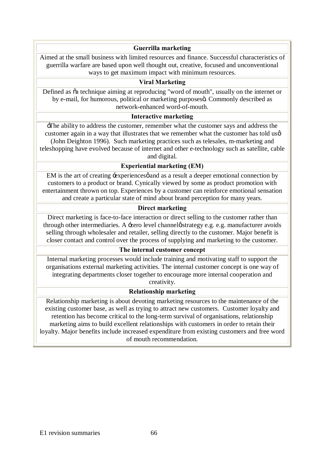# **Guerrilla marketing**

Aimed at the small business with limited resources and finance. Successful characteristics of guerrilla warfare are based upon well thought out, creative, focused and unconventional ways to get maximum impact with minimum resources.

#### **Viral Marketing**

Defined as  $\tilde{\alpha}$  technique aiming at reproducing "word of mouth", usually on the internet or by e-mail, for humorous, political or marketing purposes o. Commonly described as network-enhanced word-of-mouth.

#### **Interactive marketing**

'The ability to address the customer, remember what the customer says and address the customer again in a way that illustrates that we remember what the customer has told us $\varphi$ (John Deighton 1996). Such marketing practices such as telesales, m-marketing and teleshopping have evolved because of internet and other e-technology such as satellite, cable and digital.

**Experiential marketing (EM)**

EM is the art of creating  $\pm$ experiences  $\phi$  and as a result a deeper emotional connection by customers to a product or brand. Cynically viewed by some as product promotion with entertainment thrown on top. Experiences by a customer can reinforce emotional sensation and create a particular state of mind about brand perception for many years.

# **Direct marketing**

Direct marketing is face-to-face interaction or direct selling to the customer rather than through other intermediaries. A -zero level channelø strategy e.g. e.g. manufacturer avoids selling through wholesaler and retailer, selling directly to the customer. Major benefit is closer contact and control over the process of supplying and marketing to the customer.

#### **The internal customer concept**

Internal marketing processes would include training and motivating staff to support the organisations external marketing activities. The internal customer concept is one way of integrating departments closer together to encourage more internal cooperation and creativity.

# **Relationship marketing**

Relationship marketing is about devoting marketing resources to the maintenance of the existing customer base, as well as trying to attract new customers. Customer loyalty and retention has become critical to the long-term survival of organisations, relationship marketing aims to build excellent relationships with customers in order to retain their loyalty. Major benefits include increased expenditure from existing customers and free word of mouth recommendation.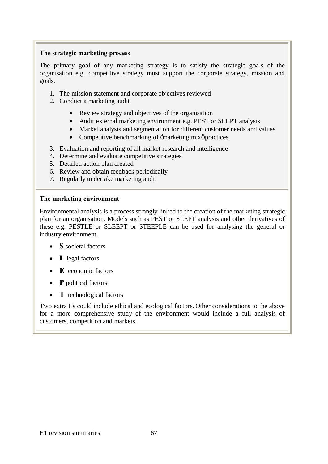# **The strategic marketing process**

The primary goal of any marketing strategy is to satisfy the strategic goals of the organisation e.g. competitive strategy must support the corporate strategy, mission and goals.

- 1. The mission statement and corporate objectives reviewed
- 2. Conduct a marketing audit
	- Review strategy and objectives of the organisation
	- Audit external marketing environment e.g. PEST or SLEPT analysis
	- Market analysis and segmentation for different customer needs and values
	- Competitive benchmarking of  $\exists$ marketing mix $\phi$  practices
- 3. Evaluation and reporting of all market research and intelligence
- 4. Determine and evaluate competitive strategies
- 5. Detailed action plan created
- 6. Review and obtain feedback periodically
- 7. Regularly undertake marketing audit

#### **The marketing environment**

Environmental analysis is a process strongly linked to the creation of the marketing strategic plan for an organisation. Models such as PEST or SLEPT analysis and other derivatives of these e.g. PESTLE or SLEEPT or STEEPLE can be used for analysing the general or industry environment.

- · **S** societal factors
- L legal factors
- · **E** economic factors
- · **P** political factors
- · **T** technological factors

Two extra Es could include ethical and ecological factors.Other considerations to the above for a more comprehensive study of the environment would include a full analysis of customers, competition and markets.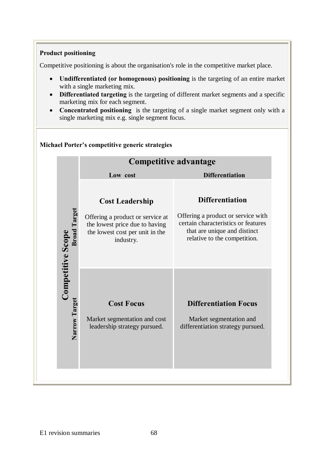# **Product positioning**

Competitive positioning is about the organisation's role in the competitive market place.

- · **Undifferentiated (or homogenous) positioning** is the targeting of an entire market with a single marketing mix.
- · **Differentiated targeting** is the targeting of different market segments and a specific marketing mix for each segment.
- · **Concentrated positioning** is the targeting of a single market segment only with a single marketing mix e.g. single segment focus.

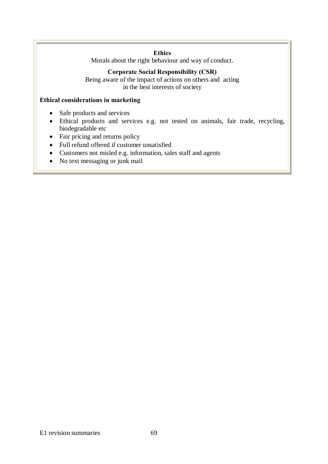# **Ethics**

Morals about the right behaviour and way of conduct.

# **Corporate Social Responsibility (CSR)**

Being aware of the impact of actions on others and acting in the best interests of society

# **Ethical considerations in marketing**

- Safe products and services
- · Ethical products and services e.g. not tested on animals, fair trade, recycling, biodegradable etc
- Fair pricing and returns policy
- · Full refund offered if customer unsatisfied
- Customers not misled e.g. information, sales staff and agents
- No text messaging or junk mail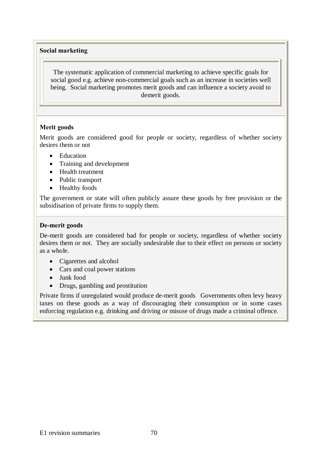# **Social marketing**

The systematic application of commercial marketing to achieve specific goals for social good e.g. achieve non-commercial goals such as an increase in societies well being. Social marketing promotes merit goods and can influence a society avoid to demerit goods.

# **Merit goods**

Merit goods are considered good for people or society, regardless of whether society desires them or not

- Education
- Training and development
- Health treatment
- Public transport
- Healthy foods

The government or state will often publicly assure these goods by free provision or the subsidisation of private firms to supply them.

#### **De-merit goods**

De-merit goods are considered bad for people or society, regardless of whether society desires them or not. They are socially undesirable due to their effect on persons or society as a whole.

- Cigarettes and alcohol
- Cars and coal power stations
- Junk food
- Drugs, gambling and prostitution

Private firms if unregulated would produce de-merit goods Governments often levy heavy taxes on these goods as a way of discouraging their consumption or in some cases enforcing regulation e.g. drinking and driving or misuse of drugs made a criminal offence.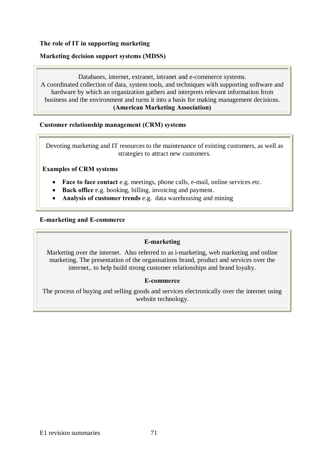# **The role of IT in supporting marketing**

# **Marketing decision support systems (MDSS)**

Databases, internet, extranet, intranet and e-commerce systems.

A coordinated collection of data, system tools, and techniques with supporting software and hardware by which an organization gathers and interprets relevant information from business and the environment and turns it into a basis for making management decisions. **(American Marketing Association)**

#### **Customer relationship management (CRM) systems**

Devoting marketing and IT resources to the maintenance of existing customers, as well as strategies to attract new customers.

#### **Examples of CRM systems**

- · **Face to face contact** e.g. meetings, phone calls, e-mail, online services etc.
- · **Back office** e.g. booking, billing, invoicing and payment.
- · **Analysis of customer trends** e.g. data warehousing and mining

#### **E-marketing and E-commerce**

#### **E-marketing**

Marketing over the internet. Also referred to as i-marketing, web marketing and online marketing. The presentation of the organisations brand, product and services over the internet,. to help build strong customer relationships and brand loyalty.

#### **E-commerce**

The process of buying and selling goods and services electronically over the internet using website technology.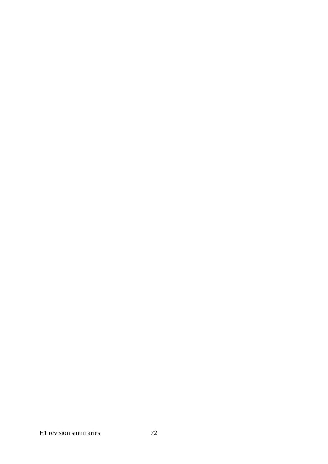E1 revision summaries 72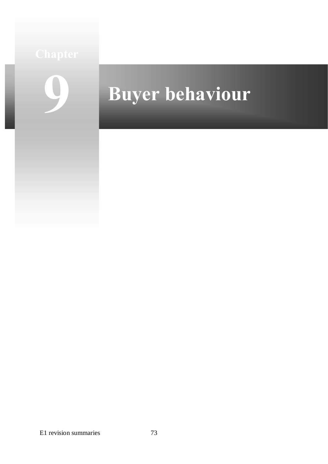

## **Buyer behaviour**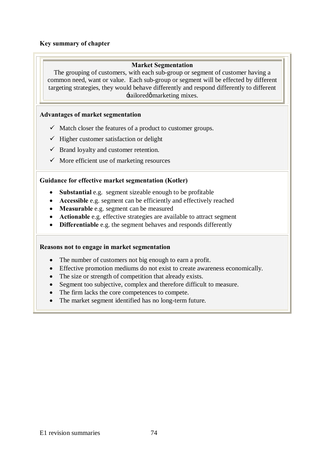#### **Key summary of chapter**

#### **Market Segmentation**

The grouping of customers, with each sub-group or segment of customer having a common need, want or value. Each sub-group or segment will be effected by different targeting strategies, they would behave differently and respond differently to different +tailoredø marketing mixes.

#### **Advantages of market segmentation**

- $\checkmark$  Match closer the features of a product to customer groups.
- $\checkmark$  Higher customer satisfaction or delight
- $\checkmark$  Brand loyalty and customer retention.
- $\checkmark$  More efficient use of marketing resources

#### **Guidance for effective market segmentation (Kotler)**

- · **Substantial** e.g. segment sizeable enough to be profitable
- · **Accessible** e.g. segment can be efficiently and effectively reached
- · **Measurable** e.g. segment can be measured
- · **Actionable** e.g. effective strategies are available to attract segment
- · **Differentiable** e.g. the segment behaves and responds differently

#### **Reasons not to engage in market segmentation**

- The number of customers not big enough to earn a profit.
- · Effective promotion mediums do not exist to create awareness economically.
- The size or strength of competition that already exists.
- Segment too subjective, complex and therefore difficult to measure.
- The firm lacks the core competences to compete.
- · The market segment identified has no long-term future.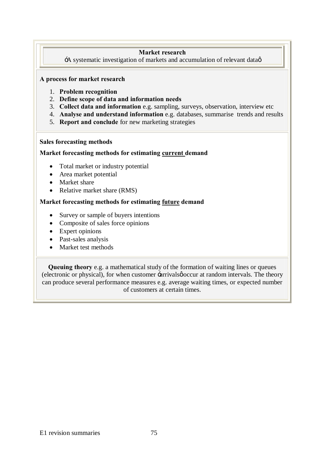#### **Market research**

 $\overrightarrow{A}$  systematic investigation of markets and accumulation of relevant data $\phi$ 

#### **A process for market research**

- 1. **Problem recognition**
- 2. **Define scope of data and information needs**
- 3. **Collect data and information** e.g. sampling, surveys, observation, interview etc
- 4. **Analyse and understand information** e.g. databases, summarise trends and results
- 5. **Report and conclude** for new marketing strategies

#### **Sales forecasting methods**

#### **Market forecasting methods for estimating current demand**

- Total market or industry potential
- Area market potential
- Market share
- Relative market share (RMS)

#### **Market forecasting methods for estimating future demand**

- · Survey or sample of buyers intentions
- · Composite of sales force opinions
- Expert opinions
- Past-sales analysis
- Market test methods

**Queuing theory** e.g. a mathematical study of the formation of waiting lines or queues (electronic or physical), for when customer  $\pm$ arrivalsø occur at random intervals. The theory can produce several performance measures e.g. average waiting times, or expected number of customers at certain times.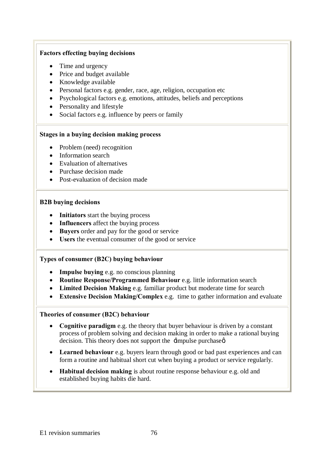#### **Factors effecting buying decisions**

- Time and urgency
- Price and budget available
- · Knowledge available
- · Personal factors e.g. gender, race, age, religion, occupation etc
- Psychological factors e.g. emotions, attitudes, beliefs and perceptions
- Personality and lifestyle
- Social factors e.g. influence by peers or family

#### **Stages in a buying decision making process**

- Problem (need) recognition
- Information search
- · Evaluation of alternatives
- Purchase decision made
- Post-evaluation of decision made

#### **B2B buying decisions**

- · **Initiators** start the buying process
- · **Influencers** affect the buying process
- · **Buyers** order and pay for the good or service
- · **Users** the eventual consumer of the good or service

#### **Types of consumer (B2C) buying behaviour**

- · **Impulse buying** e.g. no conscious planning
- · **Routine Response/Programmed Behaviour** e.g. little information search
- · **Limited Decision Making** e.g. familiar product but moderate time for search
- · **Extensive Decision Making/Complex** e.g. time to gather information and evaluate

#### **Theories of consumer (B2C) behaviour**

- · **Cognitive paradigm** e.g. the theory that buyer behaviour is driven by a constant process of problem solving and decision making in order to make a rational buying decision. This theory does not support the  $\pm$ impulse purchase  $\alpha$ .
- · **Learned behaviour** e.g. buyers learn through good or bad past experiences and can form a routine and habitual short cut when buying a product or service regularly.
- · **Habitual decision making** is about routine response behaviour e.g. old and established buying habits die hard.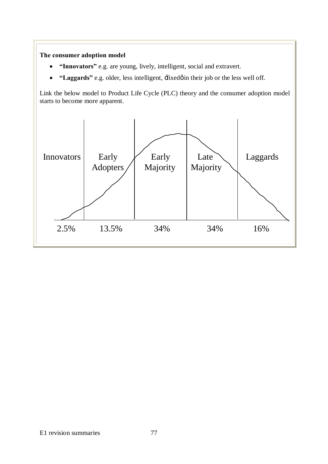#### **The consumer adoption model**

- · **"Innovators"** e.g. are young, lively, intelligent, social and extravert.
- "Laggards" e.g. older, less intelligent,  $\exists$ ixedøin their job or the less well off.

Link the below model to Product Life Cycle (PLC) theory and the consumer adoption model starts to become more apparent.

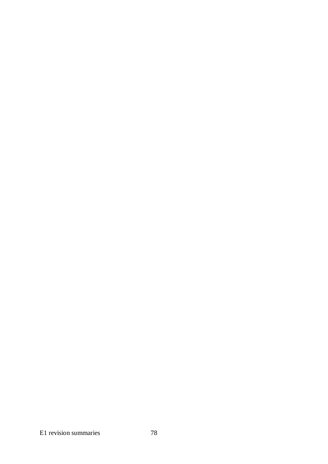E1 revision summaries 78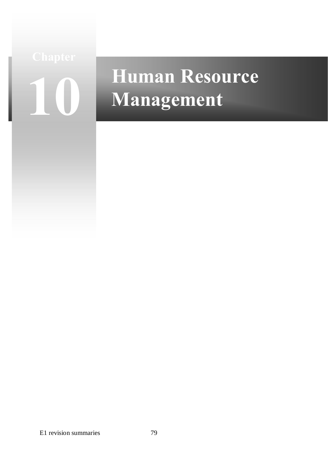# **10**

## **Human Resource Management**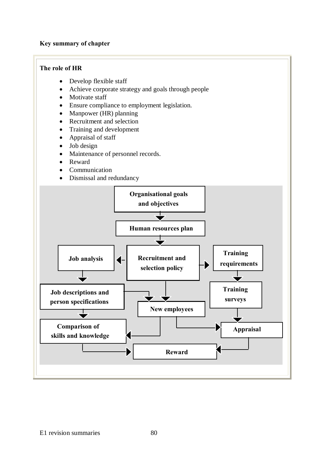#### **Key summary of chapter**

#### **The role of HR**

- Develop flexible staff
- Achieve corporate strategy and goals through people
- Motivate staff
- Ensure compliance to employment legislation.
- Manpower (HR) planning
- · Recruitment and selection
- Training and development
- · Appraisal of staff
- Job design
- Maintenance of personnel records.
- · Reward
- Communication
- Dismissal and redundancy

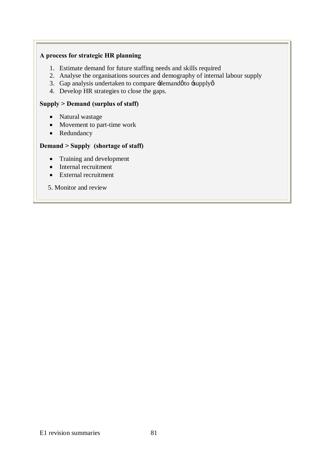#### **A process for strategic HR planning**

- 1. Estimate demand for future staffing needs and skills required
- 2. Analyse the organisations sources and demography of internal labour supply
- 3. Gap analysis undertaken to compare  $\div$ demand $\phi$  to  $\div$ supply $\phi$
- 4. Develop HR strategies to close the gaps.

#### **Supply > Demand (surplus of staff)**

- Natural wastage
- Movement to part-time work
- Redundancy

#### **Demand > Supply (shortage of staff)**

- Training and development
- Internal recruitment
- External recruitment
- 5. Monitor and review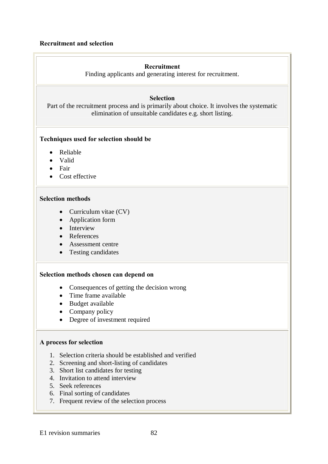#### **Recruitment and selection**

#### **Recruitment**

Finding applicants and generating interest for recruitment.

#### **Selection**

Part of the recruitment process and is primarily about choice. It involves the systematic elimination of unsuitable candidates e.g. short listing.

#### **Techniques used for selection should be**

- · Reliable
- · Valid
- · Fair
- Cost effective

#### **Selection methods**

- Curriculum vitae (CV)
- Application form
- Interview
- · References
- · Assessment centre
- Testing candidates

#### **Selection methods chosen can depend on**

- Consequences of getting the decision wrong
- Time frame available
- · Budget available
- Company policy
- Degree of investment required

#### **A process for selection**

- 1. Selection criteria should be established and verified
- 2. Screening and short-listing of candidates
- 3. Short list candidates for testing
- 4. Invitation to attend interview
- 5. Seek references
- 6. Final sorting of candidates
- 7. Frequent review of the selection process

E1 revision summaries 82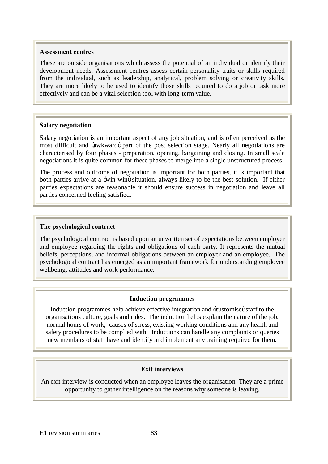#### **Assessment centres**

These are outside organisations which assess the potential of an individual or identify their development needs. Assessment centres assess certain personality traits or skills required from the individual, such as leadership, analytical, problem solving or creativity skills. They are more likely to be used to identify those skills required to do a job or task more effectively and can be a vital selection tool with long-term value.

#### **Salary negotiation**

Salary negotiation is an important aspect of any job situation, and is often perceived as the most difficult and  $\pm$ awkwardø part of the post selection stage. Nearly all negotiations are characterised by four phases - preparation, opening, bargaining and closing. In small scale negotiations it is quite common for these phases to merge into a single unstructured process.

The process and outcome of negotiation is important for both parties, it is important that both parties arrive at a -win-wing situation, always likely to be the best solution. If either parties expectations are reasonable it should ensure success in negotiation and leave all parties concerned feeling satisfied.

#### **The psychological contract**

The psychological contract is based upon an unwritten set of expectations between employer and employee regarding the rights and obligations of each party. It represents the mutual beliefs, perceptions, and informal obligations between an employer and an employee. The psychological contract has emerged as an important framework for understanding employee wellbeing, attitudes and work performance.

#### **Induction programmes**

Induction programmes help achieve effective integration and -customise  $\phi$  staff to the organisations culture, goals and rules. The induction helps explain the nature of the job, normal hours of work, causes of stress, existing working conditions and any health and safety procedures to be complied with. Inductions can handle any complaints or queries new members of staff have and identify and implement any training required for them.

#### **Exit interviews**

An exit interview is conducted when an employee leaves the organisation. They are a prime opportunity to gather intelligence on the reasons why someone is leaving.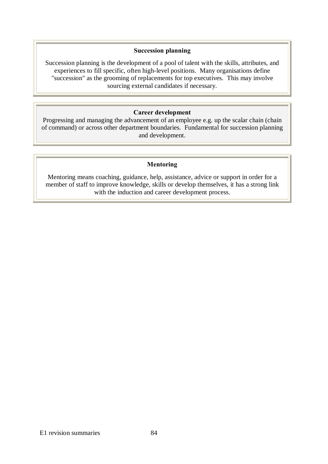#### **Succession planning**

Succession planning is the development of a pool of talent with the skills, attributes, and experiences to fill specific, often high-level positions. Many organisations define "succession" as the grooming of replacements for top executives. This may involve sourcing external candidates if necessary.

#### **Career development**

Progressing and managing the advancement of an employee e.g. up the scalar chain (chain of command) or across other department boundaries. Fundamental for succession planning and development.

#### **Mentoring**

Mentoring means coaching, guidance, help, assistance, advice or support in order for a member of staff to improve knowledge, skills or develop themselves, it has a strong link with the induction and career development process.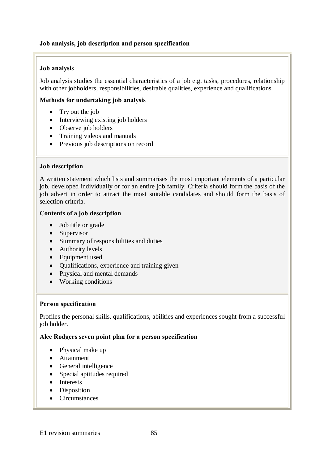#### **Job analysis, job description and person specification**

#### **Job analysis**

Job analysis studies the essential characteristics of a job e.g. tasks, procedures, relationship with other jobholders, responsibilities, desirable qualities, experience and qualifications.

#### **Methods for undertaking job analysis**

- Try out the job
- Interviewing existing job holders
- Observe job holders
- · Training videos and manuals
- Previous job descriptions on record

#### **Job description**

A written statement which lists and summarises the most important elements of a particular job, developed individually or for an entire job family. Criteria should form the basis of the job advert in order to attract the most suitable candidates and should form the basis of selection criteria.

#### **Contents of a job description**

- Job title or grade
- Supervisor
- · Summary of responsibilities and duties
- Authority levels
- Equipment used
- · Qualifications, experience and training given
- · Physical and mental demands
- Working conditions

#### **Person specification**

Profiles the personal skills, qualifications, abilities and experiences sought from a successful job holder.

#### **Alec Rodgers seven point plan for a person specification**

- Physical make up
- Attainment
- General intelligence
- Special aptitudes required
- Interests
- Disposition
- · Circumstances

E1 revision summaries 85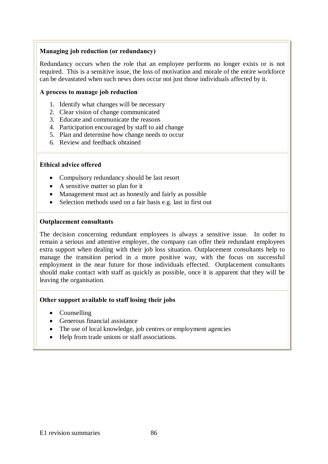#### **Managing job reduction (or redundancy)**

Redundancy occurs when the role that an employee performs no longer exists or is not required. This is a sensitive issue, the loss of motivation and morale of the entire workforce can be devastated when such news does occur not just those individuals affected by it.

#### **A process to manage job reduction**

- 1. Identify what changes will be necessary
- 2. Clear vision of change communicated
- 3. Educate and communicate the reasons
- 4. Participation encouraged by staff to aid change
- 5. Plan and determine how change needs to occur
- 6. Review and feedback obtained

#### **Ethical advice offered**

- · Compulsory redundancy should be last resort
- A sensitive matter so plan for it
- Management must act as honestly and fairly as possible
- Selection methods used on a fair basis e.g. last in first out

#### **Outplacement consultants**

The decision concerning redundant employees is always a sensitive issue. In order to remain a serious and attentive employer, the company can offer their redundant employees extra support when dealing with their job loss situation. Outplacement consultants help to manage the transition period in a more positive way, with the focus on successful employment in the near future for those individuals effected. Outplacement consultants should make contact with staff as quickly as possible, once it is apparent that they will be leaving the organisation.

#### **Other support available to staff losing their jobs**

- Counselling
- Generous financial assistance
- The use of local knowledge, job centres or employment agencies
- · Help from trade unions or staff associations.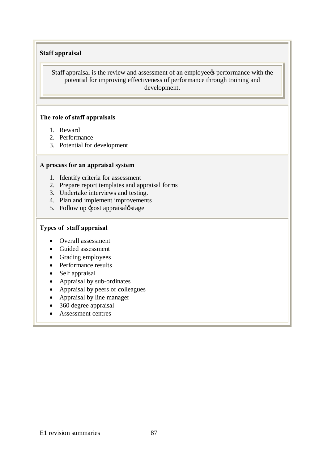#### **Staff appraisal**

Staff appraisal is the review and assessment of an employee terrormance with the potential for improving effectiveness of performance through training and development.

#### **The role of staff appraisals**

- 1. Reward
- 2. Performance
- 3. Potential for development

#### **A process for an appraisal system**

- 1. Identify criteria for assessment
- 2. Prepare report templates and appraisal forms
- 3. Undertake interviews and testing.
- 4. Plan and implement improvements
- 5. Follow up  $\pm$ post appraisal $\phi$  stage

#### **Types of staff appraisal**

- Overall assessment
- Guided assessment
- Grading employees
- Performance results
- Self appraisal
- Appraisal by sub-ordinates
- Appraisal by peers or colleagues
- Appraisal by line manager
- 360 degree appraisal
- Assessment centres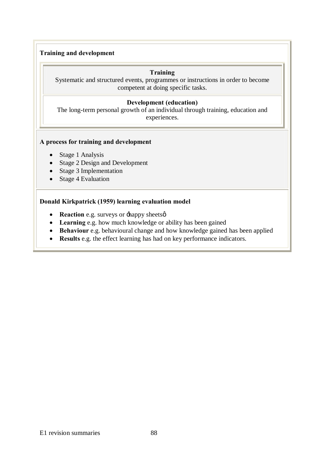#### **Training and development**

#### **Training**

Systematic and structured events, programmes or instructions in order to become competent at doing specific tasks.

#### **Development (education)**

The long-term personal growth of an individual through training, education and experiences.

#### **A process for training and development**

- Stage 1 Analysis
- Stage 2 Design and Development
- Stage 3 Implementation
- Stage 4 Evaluation

#### **Donald Kirkpatrick (1959) learning evaluation model**

- **Reaction** e.g. surveys or  $\pm$ happy sheets  $\phi$
- · **Learning** e.g. how much knowledge or ability has been gained
- · **Behaviour** e.g. behavioural change and how knowledge gained has been applied
- · **Results** e.g. the effect learning has had on key performance indicators.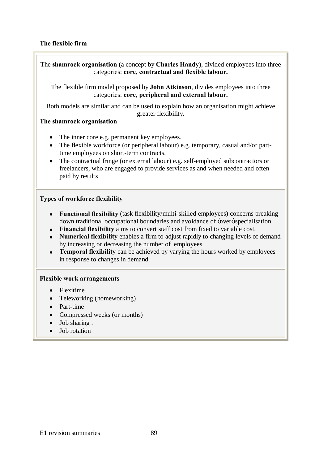The **shamrock organisation** (a concept by **Charles Handy**), divided employees into three categories: **core, contractual and flexible labour.** 

The flexible firm model proposed by **John Atkinson**, divides employees into three categories: **core, peripheral and external labour.**

Both models are similar and can be used to explain how an organisation might achieve greater flexibility.

#### **The shamrock organisation**

- The inner core e.g. permanent key employees.
- The flexible workforce (or peripheral labour) e.g. temporary, casual and/or parttime employees on short-term contracts.
- · The contractual fringe (or external labour) e.g. self-employed subcontractors or freelancers, who are engaged to provide services as and when needed and often paid by results

#### **Types of workforce flexibility**

- · **Functional flexibility** (task flexibility/multi-skilled employees) concerns breaking down traditional occupational boundaries and avoidance of  $\div$ over $\phi$  specialisation.
- · **Financial flexibility** aims to convert staff cost from fixed to variable cost.
- · **Numerical flexibility** enables a firm to adjust rapidly to changing levels of demand by increasing or decreasing the number of employees.
- · **Temporal flexibility** can be achieved by varying the hours worked by employees in response to changes in demand.

#### **Flexible work arrangements**

- Flexitime
- Teleworking (homeworking)
- Part-time
- Compressed weeks (or months)
- Job sharing .
- Job rotation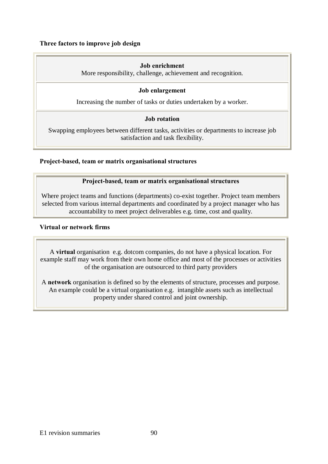#### **Three factors to improve job design**

#### **Job enrichment**

More responsibility, challenge, achievement and recognition.

#### **Job enlargement**

Increasing the number of tasks or duties undertaken by a worker.

#### **Job rotation**

Swapping employees between different tasks, activities or departments to increase job satisfaction and task flexibility.

#### **Project-based, team or matrix organisational structures**

#### **Project-based, team or matrix organisational structures**

Where project teams and functions (departments) co-exist together. Project team members selected from various internal departments and coordinated by a project manager who has accountability to meet project deliverables e.g. time, cost and quality.

#### **Virtual or network firms**

A **virtual** organisation e.g. dotcom companies, do not have a physical location. For example staff may work from their own home office and most of the processes or activities of the organisation are outsourced to third party providers

A **network** organisation is defined so by the elements of structure, processes and purpose. An example could be a virtual organisation e.g. intangible assets such as intellectual property under shared control and joint ownership.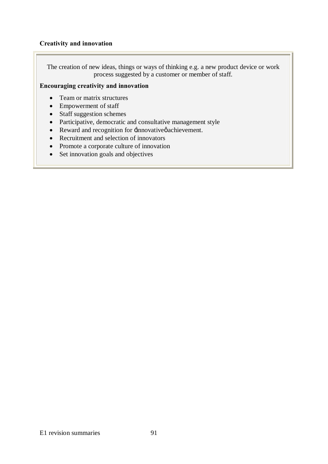#### **Creativity and innovation**

The creation of new ideas, things or ways of thinking e.g. a new product device or work process suggested by a customer or member of staff.

#### **Encouraging creativity and innovation**

- Team or matrix structures
- · Empowerment of staff
- Staff suggestion schemes
- · Participative, democratic and consultative management style
- Reward and recognition for  $\exists$ innovativeø achievement.
- · Recruitment and selection of innovators
- Promote a corporate culture of innovation
- Set innovation goals and objectives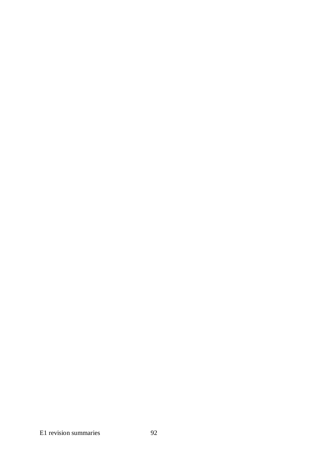E1 revision summaries 92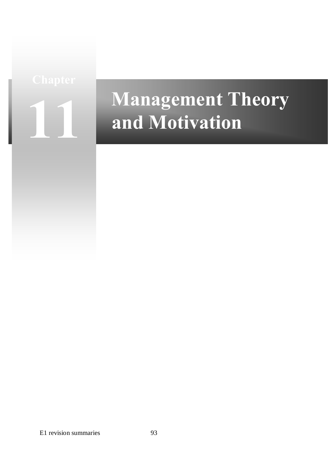# **11**

### **Management Theory and Motivation**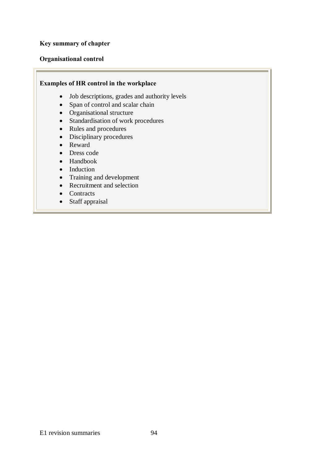#### **Key summary of chapter**

#### **Organisational control**

#### **Examples of HR control in the workplace**

- · Job descriptions, grades and authority levels
- Span of control and scalar chain
- Organisational structure
- · Standardisation of work procedures
- · Rules and procedures
- Disciplinary procedures
- · Reward
- Dress code
- Handbook
- Induction
- Training and development
- Recruitment and selection
- Contracts
- Staff appraisal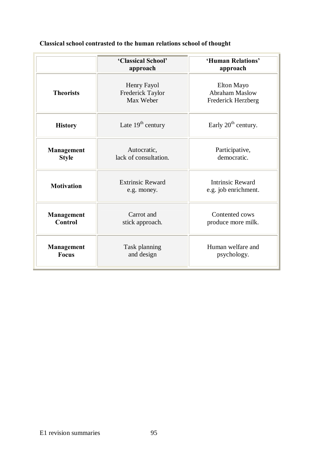|                                   | 'Classical School'<br>approach               | 'Human Relations'<br>approach                             |
|-----------------------------------|----------------------------------------------|-----------------------------------------------------------|
| <b>Theorists</b>                  | Henry Fayol<br>Frederick Taylor<br>Max Weber | Elton Mayo<br><b>Abraham Maslow</b><br>Frederick Herzberg |
| <b>History</b>                    | Late $19th$ century                          | Early 20 <sup>th</sup> century.                           |
| <b>Management</b><br><b>Style</b> | Autocratic,<br>lack of consultation.         | Participative,<br>democratic.                             |
| <b>Motivation</b>                 | <b>Extrinsic Reward</b><br>e.g. money.       | <b>Intrinsic Reward</b><br>e.g. job enrichment.           |
| <b>Management</b><br>Control      | Carrot and<br>stick approach.                | Contented cows<br>produce more milk.                      |
| <b>Management</b><br><b>Focus</b> | Task planning<br>and design                  | Human welfare and<br>psychology.                          |

#### **Classical school contrasted to the human relations school of thought**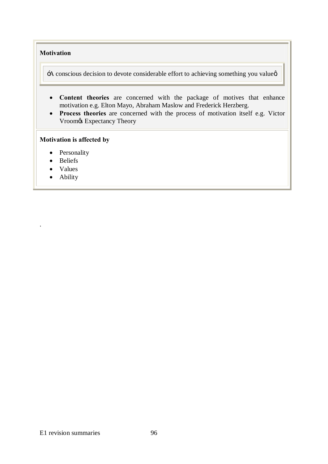#### **Motivation**

 $\overrightarrow{A}$  conscious decision to devote considerable effort to achieving something you value  $\alpha$ .

- · **Content theories** are concerned with the package of motives that enhance motivation e.g. Elton Mayo, Abraham Maslow and Frederick Herzberg.
- · **Process theories** are concerned with the process of motivation itself e.g. Victor Vroom $\otimes$  Expectancy Theory

#### **Motivation is affected by**

- Personality
- Beliefs
- · Values
- Ability

.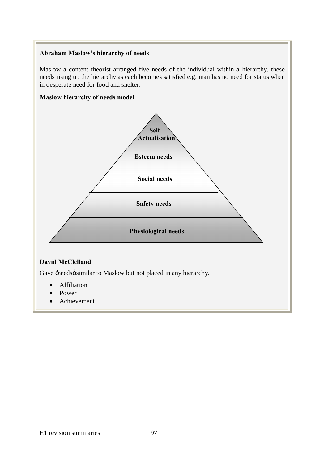#### **Abraham Maslow's hierarchy of needs**

Maslow a content theorist arranged five needs of the individual within a hierarchy, these needs rising up the hierarchy as each becomes satisfied e.g. man has no need for status when in desperate need for food and shelter.

#### **Maslow hierarchy of needs model**

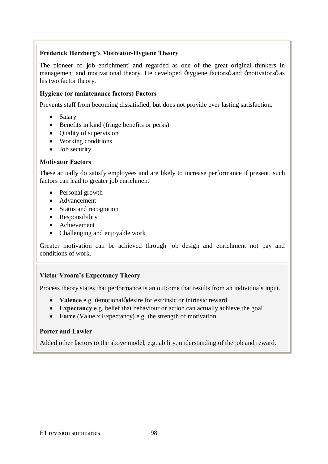#### **Frederick Herzberg's Motivator-Hygiene Theory**

The pioneer of 'job enrichment' and regarded as one of the great original thinkers in management and motivational theory. He developed  $\exists$ hygiene factorsø and  $\exists$ motivatorsø as his two factor theory.

#### **Hygiene (or maintenance factors) Factors**

Prevents staff from becoming dissatisfied, but does not provide ever lasting satisfaction.

- Salary
- Benefits in kind (fringe benefits or perks)
- Ouality of supervision
- Working conditions
- Job security

#### **Motivator Factors**

These actually do satisfy employees and are likely to increase performance if present, such factors can lead to greater job enrichment

- Personal growth
- Advancement
- Status and recognition
- Responsibility
- Achievement
- Challenging and enjoyable work

Greater motivation can be achieved through job design and enrichment not pay and conditions of work.

#### **Victor Vroom's Expectancy Theory**

Process theory states that performance is an outcome that results from an individuals input.

- **Valence** e.g.  $\pm$ emotionalødesire for extrinsic or intrinsic reward
- · **Expectancy** e.g. belief that behaviour or action can actually achieve the goal
- · **Force** (Value x Expectancy) e.g. the strength of motivation

#### **Porter and Lawler**

Added other factors to the above model, e.g. ability, understanding of the job and reward.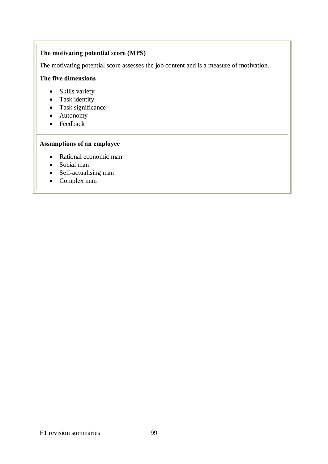#### **The motivating potential score (MPS)**

The motivating potential score assesses the job content and is a measure of motivation.

#### **The five dimensions**

- · Skills variety
- Task identity
- Task significance
- Autonomy
- Feedback

#### **Assumptions of an employee**

- · Rational economic man
- · Social man
- · Self-actualising man
- Complex man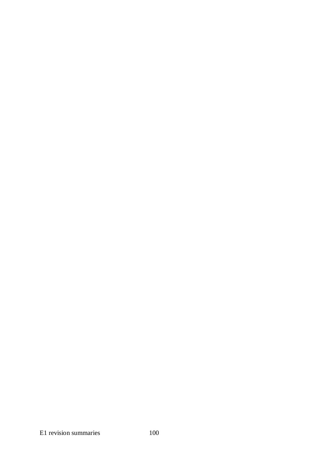E1 revision summaries 100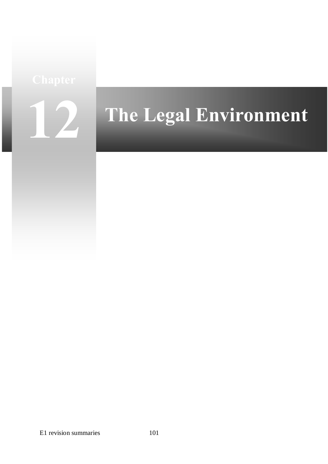# **12**

# **The Legal Environment**

E1 revision summaries 101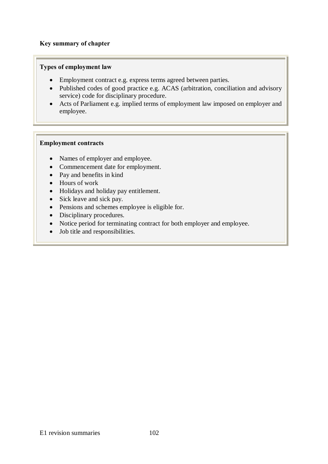#### **Key summary of chapter**

#### **Types of employment law**

- · Employment contract e.g. express terms agreed between parties.
- · Published codes of good practice e.g. ACAS (arbitration, conciliation and advisory service) code for disciplinary procedure.
- · Acts of Parliament e.g. implied terms of employment law imposed on employer and employee.

#### **Employment contracts**

- Names of employer and employee.
- · Commencement date for employment.
- Pay and benefits in kind
- · Hours of work
- · Holidays and holiday pay entitlement.
- Sick leave and sick pay.
- Pensions and schemes employee is eligible for.
- Disciplinary procedures.
- Notice period for terminating contract for both employer and employee.
- Job title and responsibilities.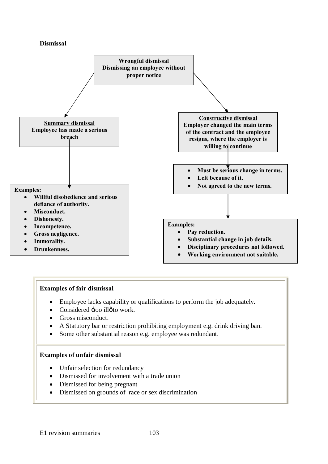#### **Dismissal**



#### **Examples of fair dismissal**

- · Employee lacks capability or qualifications to perform the job adequately.
- Considered  $\pm$ too illøto work.
- Gross misconduct.
- · A Statutory bar or restriction prohibiting employment e.g. drink driving ban.
- Some other substantial reason e.g. employee was redundant.

#### **Examples of unfair dismissal**

- Unfair selection for redundancy
- · Dismissed for involvement with a trade union
- Dismissed for being pregnant
- Dismissed on grounds of race or sex discrimination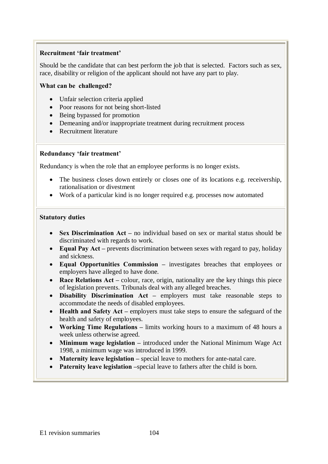#### **Recruitment 'fair treatment'**

Should be the candidate that can best perform the job that is selected. Factors such as sex, race, disability or religion of the applicant should not have any part to play.

#### **What can be challenged?**

- Unfair selection criteria applied
- Poor reasons for not being short-listed
- Being bypassed for promotion
- Demeaning and/or inappropriate treatment during recruitment process
- Recruitment literature

#### **Redundancy 'fair treatment'**

Redundancy is when the role that an employee performs is no longer exists.

- · The business closes down entirely or closes one of its locations e.g. receivership, rationalisation or divestment
- · Work of a particular kind is no longer required e.g. processes now automated

#### **Statutory duties**

- **Sex Discrimination Act** no individual based on sex or marital status should be discriminated with regards to work.
- **Equal Pay Act** prevents discrimination between sexes with regard to pay, holiday and sickness.
- · **Equal Opportunities Commission –** investigates breaches that employees or employers have alleged to have done.
- **Race Relations Act** colour, race, origin, nationality are the key things this piece of legislation prevents. Tribunals deal with any alleged breaches.
- **Disability Discrimination Act** employers must take reasonable steps to accommodate the needs of disabled employees.
- **Health and Safety Act** employers must take steps to ensure the safeguard of the health and safety of employees.
- **Working Time Regulations** limits working hours to a maximum of 48 hours a week unless otherwise agreed.
- **Minimum wage legislation** introduced under the National Minimum Wage Act 1998, a minimum wage was introduced in 1999.
- **Maternity leave legislation** special leave to mothers for ante-natal care.
- **Paternity leave legislation** –special leave to fathers after the child is born.